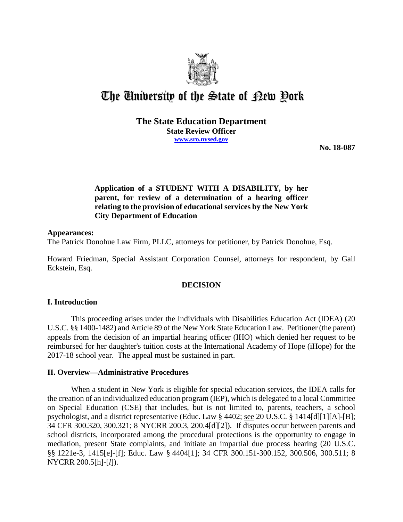

# The University of the State of Pew Pork

# **The State Education Department State Review Officer www.sro.nysed.gov**

**No. 18-087** 

# **Application of a STUDENT WITH A DISABILITY, by her parent, for review of a determination of a hearing officer relating to the provision of educational services by the New York City Department of Education**

## **Appearances:**

The Patrick Donohue Law Firm, PLLC, attorneys for petitioner, by Patrick Donohue, Esq.

Howard Friedman, Special Assistant Corporation Counsel, attorneys for respondent, by Gail Eckstein, Esq.

# **DECISION**

## **I. Introduction**

This proceeding arises under the Individuals with Disabilities Education Act (IDEA) (20 U.S.C. §§ 1400-1482) and Article 89 of the New York State Education Law. Petitioner (the parent) appeals from the decision of an impartial hearing officer (IHO) which denied her request to be reimbursed for her daughter's tuition costs at the International Academy of Hope (iHope) for the 2017-18 school year. The appeal must be sustained in part.

## **II. Overview—Administrative Procedures**

When a student in New York is eligible for special education services, the IDEA calls for the creation of an individualized education program (IEP), which is delegated to a local Committee on Special Education (CSE) that includes, but is not limited to, parents, teachers, a school psychologist, and a district representative (Educ. Law § 4402; see 20 U.S.C. § 1414[d][1][A]-[B]; 34 CFR 300.320, 300.321; 8 NYCRR 200.3, 200.4[d][2]). If disputes occur between parents and school districts, incorporated among the procedural protections is the opportunity to engage in mediation, present State complaints, and initiate an impartial due process hearing (20 U.S.C. §§ 1221e-3, 1415[e]-[f]; Educ. Law § 4404[1]; 34 CFR 300.151-300.152, 300.506, 300.511; 8 NYCRR 200.5[h]-[*l*]).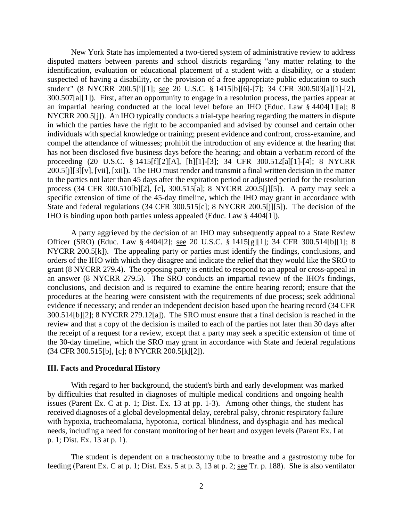New York State has implemented a two-tiered system of administrative review to address disputed matters between parents and school districts regarding "any matter relating to the identification, evaluation or educational placement of a student with a disability, or a student suspected of having a disability, or the provision of a free appropriate public education to such student" (8 NYCRR 200.5[i][1]; see 20 U.S.C. § 1415[b][6]-[7]; 34 CFR 300.503[a][1]-[2], 300.507[a][1]). First, after an opportunity to engage in a resolution process, the parties appear at an impartial hearing conducted at the local level before an IHO (Educ. Law § 4404[1][a]; 8 NYCRR 200.5[j]). An IHO typically conducts a trial-type hearing regarding the matters in dispute in which the parties have the right to be accompanied and advised by counsel and certain other individuals with special knowledge or training; present evidence and confront, cross-examine, and compel the attendance of witnesses; prohibit the introduction of any evidence at the hearing that has not been disclosed five business days before the hearing; and obtain a verbatim record of the proceeding (20 U.S.C. § 1415[f][2][A], [h][1]-[3]; 34 CFR 300.512[a][1]-[4]; 8 NYCRR 200.5[j][3][v], [vii], [xii]). The IHO must render and transmit a final written decision in the matter to the parties not later than 45 days after the expiration period or adjusted period for the resolution process (34 CFR 300.510[b][2], [c], 300.515[a]; 8 NYCRR 200.5[j][5]). A party may seek a specific extension of time of the 45-day timeline, which the IHO may grant in accordance with State and federal regulations (34 CFR 300.515[c]; 8 NYCRR 200.5[j][5]). The decision of the IHO is binding upon both parties unless appealed (Educ. Law § 4404[1]).

A party aggrieved by the decision of an IHO may subsequently appeal to a State Review Officer (SRO) (Educ. Law § 4404[2]; see 20 U.S.C. § 1415[g][1]; 34 CFR 300.514[b][1]; 8 NYCRR 200.5[k]). The appealing party or parties must identify the findings, conclusions, and orders of the IHO with which they disagree and indicate the relief that they would like the SRO to grant (8 NYCRR 279.4). The opposing party is entitled to respond to an appeal or cross-appeal in an answer (8 NYCRR 279.5). The SRO conducts an impartial review of the IHO's findings, conclusions, and decision and is required to examine the entire hearing record; ensure that the procedures at the hearing were consistent with the requirements of due process; seek additional evidence if necessary; and render an independent decision based upon the hearing record (34 CFR 300.514[b][2]; 8 NYCRR 279.12[a]). The SRO must ensure that a final decision is reached in the review and that a copy of the decision is mailed to each of the parties not later than 30 days after the receipt of a request for a review, except that a party may seek a specific extension of time of the 30-day timeline, which the SRO may grant in accordance with State and federal regulations (34 CFR 300.515[b], [c]; 8 NYCRR 200.5[k][2]).

#### **III. Facts and Procedural History**

With regard to her background, the student's birth and early development was marked by difficulties that resulted in diagnoses of multiple medical conditions and ongoing health issues (Parent Ex. C at p. 1; Dist. Ex. 13 at pp. 1-3). Among other things, the student has received diagnoses of a global developmental delay, cerebral palsy, chronic respiratory failure with hypoxia, tracheomalacia, hypotonia, cortical blindness, and dysphagia and has medical needs, including a need for constant monitoring of her heart and oxygen levels (Parent Ex. I at p. 1; Dist. Ex. 13 at p. 1).

The student is dependent on a tracheostomy tube to breathe and a gastrostomy tube for feeding (Parent Ex. C at p. 1; Dist. Exs. 5 at p. 3, 13 at p. 2; see Tr. p. 188). She is also ventilator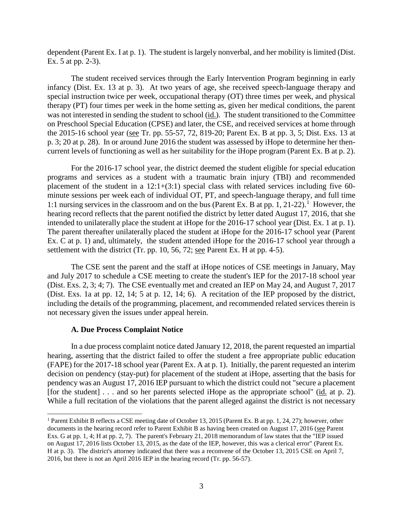dependent (Parent Ex. I at p. 1). The student is largely nonverbal, and her mobility is limited (Dist. Ex. 5 at pp. 2-3).

The student received services through the Early Intervention Program beginning in early infancy (Dist. Ex. 13 at p. 3). At two years of age, she received speech-language therapy and special instruction twice per week, occupational therapy (OT) three times per week, and physical therapy (PT) four times per week in the home setting as, given her medical conditions, the parent was not interested in sending the student to school (id.). The student transitioned to the Committee on Preschool Special Education (CPSE) and later, the CSE, and received services at home through the 2015-16 school year (see Tr. pp. 55-57, 72, 819-20; Parent Ex. B at pp. 3, 5; Dist. Exs. 13 at p. 3; 20 at p. 28). In or around June 2016 the student was assessed by iHope to determine her thencurrent levels of functioning as well as her suitability for the iHope program (Parent Ex. B at p. 2).

For the 2016-17 school year, the district deemed the student eligible for special education programs and services as a student with a traumatic brain injury (TBI) and recommended placement of the student in a  $12:1+(3:1)$  special class with related services including five 60minute sessions per week each of individual OT, PT, and speech-language therapy, and full time 1:1 nursing services in the classroom and on the bus (Parent Ex. B at pp. 1, 21-22).<sup>1</sup> However, the hearing record reflects that the parent notified the district by letter dated August 17, 2016, that she intended to unilaterally place the student at iHope for the 2016-17 school year (Dist. Ex. 1 at p. 1). The parent thereafter unilaterally placed the student at iHope for the 2016-17 school year (Parent Ex. C at p. 1) and, ultimately, the student attended iHope for the 2016-17 school year through a settlement with the district (Tr. pp. 10, 56, 72; see Parent Ex. H at pp. 4-5).

The CSE sent the parent and the staff at iHope notices of CSE meetings in January, May and July 2017 to schedule a CSE meeting to create the student's IEP for the 2017-18 school year (Dist. Exs. 2, 3; 4; 7). The CSE eventually met and created an IEP on May 24, and August 7, 2017 (Dist. Exs. 1a at pp. 12, 14; 5 at p. 12, 14; 6). A recitation of the IEP proposed by the district, including the details of the programming, placement, and recommended related services therein is not necessary given the issues under appeal herein.

#### **A. Due Process Complaint Notice**

In a due process complaint notice dated January 12, 2018, the parent requested an impartial hearing, asserting that the district failed to offer the student a free appropriate public education (FAPE) for the 2017-18 school year (Parent Ex. A at p. 1). Initially, the parent requested an interim decision on pendency (stay-put) for placement of the student at iHope, asserting that the basis for pendency was an August 17, 2016 IEP pursuant to which the district could not "secure a placement [for the student] . . . and so her parents selected iHope as the appropriate school" (id. at p. 2). While a full recitation of the violations that the parent alleged against the district is not necessary

<sup>&</sup>lt;sup>1</sup> Parent Exhibit B reflects a CSE meeting date of October 13, 2015 (Parent Ex. B at pp. 1, 24, 27); however, other documents in the hearing record refer to Parent Exhibit B as having been created on August 17, 2016 (see Parent Exs. G at pp. 1, 4; H at pp. 2, 7). The parent's February 21, 2018 memorandum of law states that the "IEP issued on August 17, 2016 lists October 13, 2015, as the date of the IEP, however, this was a clerical error" (Parent Ex. H at p. 3). The district's attorney indicated that there was a reconvene of the October 13, 2015 CSE on April 7, 2016, but there is not an April 2016 IEP in the hearing record (Tr. pp. 56-57).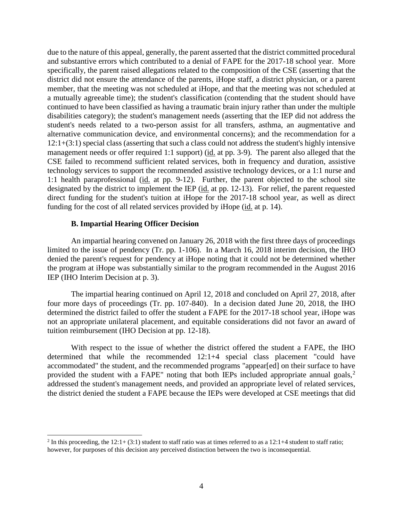due to the nature of this appeal, generally, the parent asserted that the district committed procedural and substantive errors which contributed to a denial of FAPE for the 2017-18 school year. More specifically, the parent raised allegations related to the composition of the CSE (asserting that the district did not ensure the attendance of the parents, iHope staff, a district physician, or a parent member, that the meeting was not scheduled at iHope, and that the meeting was not scheduled at a mutually agreeable time); the student's classification (contending that the student should have continued to have been classified as having a traumatic brain injury rather than under the multiple disabilities category); the student's management needs (asserting that the IEP did not address the student's needs related to a two-person assist for all transfers, asthma, an augmentative and alternative communication device, and environmental concerns); and the recommendation for a 12:1+(3:1) special class (asserting that such a class could not address the student's highly intensive management needs or offer required 1:1 support) (id. at pp. 3-9). The parent also alleged that the CSE failed to recommend sufficient related services, both in frequency and duration, assistive technology services to support the recommended assistive technology devices, or a 1:1 nurse and 1:1 health paraprofessional (id. at pp. 9-12). Further, the parent objected to the school site designated by the district to implement the IEP (id. at pp. 12-13). For relief, the parent requested direct funding for the student's tuition at iHope for the 2017-18 school year, as well as direct funding for the cost of all related services provided by iHope (id. at p. 14).

#### **B. Impartial Hearing Officer Decision**

An impartial hearing convened on January 26, 2018 with the first three days of proceedings limited to the issue of pendency (Tr. pp. 1-106). In a March 16, 2018 interim decision, the IHO denied the parent's request for pendency at iHope noting that it could not be determined whether the program at iHope was substantially similar to the program recommended in the August 2016 IEP (IHO Interim Decision at p. 3).

The impartial hearing continued on April 12, 2018 and concluded on April 27, 2018, after four more days of proceedings (Tr. pp. 107-840). In a decision dated June 20, 2018, the IHO determined the district failed to offer the student a FAPE for the 2017-18 school year, iHope was not an appropriate unilateral placement, and equitable considerations did not favor an award of tuition reimbursement (IHO Decision at pp. 12-18).

With respect to the issue of whether the district offered the student a FAPE, the IHO determined that while the recommended 12:1+4 special class placement "could have accommodated" the student, and the recommended programs "appear[ed] on their surface to have provided the student with a FAPE" noting that both IEPs included appropriate annual goals,<sup>2</sup> addressed the student's management needs, and provided an appropriate level of related services, the district denied the student a FAPE because the IEPs were developed at CSE meetings that did

<sup>&</sup>lt;sup>2</sup> In this proceeding, the 12:1+ (3:1) student to staff ratio was at times referred to as a 12:1+4 student to staff ratio; however, for purposes of this decision any perceived distinction between the two is inconsequential.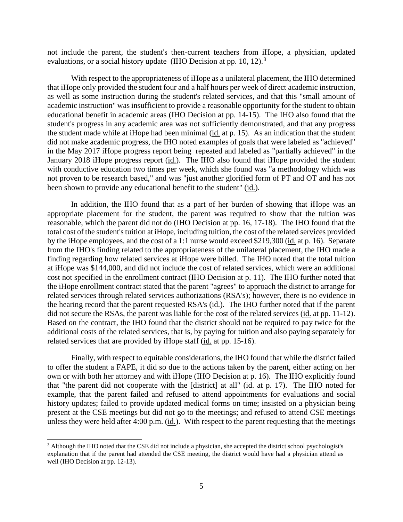not include the parent, the student's then-current teachers from iHope, a physician, updated evaluations, or a social history update (IHO Decision at pp. 10, 12).<sup>3</sup>

With respect to the appropriateness of iHope as a unilateral placement, the IHO determined that iHope only provided the student four and a half hours per week of direct academic instruction, as well as some instruction during the student's related services, and that this "small amount of academic instruction" was insufficient to provide a reasonable opportunity for the student to obtain educational benefit in academic areas (IHO Decision at pp. 14-15). The IHO also found that the student's progress in any academic area was not sufficiently demonstrated, and that any progress the student made while at iHope had been minimal  $(id$  at p. 15). As an indication that the student did not make academic progress, the IHO noted examples of goals that were labeled as "achieved" in the May 2017 iHope progress report being repeated and labeled as "partially achieved" in the January 2018 iHope progress report (id.). The IHO also found that iHope provided the student with conductive education two times per week, which she found was "a methodology which was not proven to be research based," and was "just another glorified form of PT and OT and has not been shown to provide any educational benefit to the student" (id.).

In addition, the IHO found that as a part of her burden of showing that iHope was an appropriate placement for the student, the parent was required to show that the tuition was reasonable, which the parent did not do (IHO Decision at pp. 16, 17-18). The IHO found that the total cost of the student's tuition at iHope, including tuition, the cost of the related services provided by the iHope employees, and the cost of a 1:1 nurse would exceed \$219,300 (id. at p. 16). Separate from the IHO's finding related to the appropriateness of the unilateral placement, the IHO made a finding regarding how related services at iHope were billed. The IHO noted that the total tuition at iHope was \$144,000, and did not include the cost of related services, which were an additional cost not specified in the enrollment contract (IHO Decision at p. 11). The IHO further noted that the iHope enrollment contract stated that the parent "agrees" to approach the district to arrange for related services through related services authorizations (RSA's); however, there is no evidence in the hearing record that the parent requested RSA's (id.). The IHO further noted that if the parent did not secure the RSAs, the parent was liable for the cost of the related services (id. at pp. 11-12). Based on the contract, the IHO found that the district should not be required to pay twice for the additional costs of the related services, that is, by paying for tuition and also paying separately for related services that are provided by iHope staff (id. at pp. 15-16).

Finally, with respect to equitable considerations, the IHO found that while the district failed to offer the student a FAPE, it did so due to the actions taken by the parent, either acting on her own or with both her attorney and with iHope (IHO Decision at p. 16). The IHO explicitly found that "the parent did not cooperate with the [district] at all" (id. at p. 17). The IHO noted for example, that the parent failed and refused to attend appointments for evaluations and social history updates; failed to provide updated medical forms on time; insisted on a physician being present at the CSE meetings but did not go to the meetings; and refused to attend CSE meetings unless they were held after  $4:00$  p.m. (id.). With respect to the parent requesting that the meetings

<sup>&</sup>lt;sup>3</sup> Although the IHO noted that the CSE did not include a physician, she accepted the district school psychologist's explanation that if the parent had attended the CSE meeting, the district would have had a physician attend as well (IHO Decision at pp. 12-13).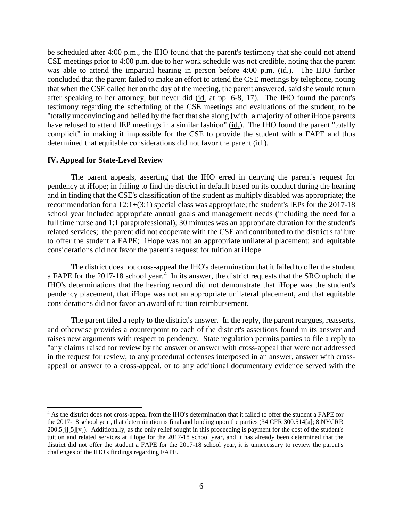be scheduled after 4:00 p.m., the IHO found that the parent's testimony that she could not attend CSE meetings prior to 4:00 p.m. due to her work schedule was not credible, noting that the parent was able to attend the impartial hearing in person before 4:00 p.m. (id.). The IHO further concluded that the parent failed to make an effort to attend the CSE meetings by telephone, noting that when the CSE called her on the day of the meeting, the parent answered, said she would return after speaking to her attorney, but never did (id. at pp. 6-8, 17). The IHO found the parent's testimony regarding the scheduling of the CSE meetings and evaluations of the student, to be "totally unconvincing and belied by the fact that she along [with] a majority of other iHope parents have refused to attend IEP meetings in a similar fashion" (id.). The IHO found the parent "totally complicit" in making it impossible for the CSE to provide the student with a FAPE and thus determined that equitable considerations did not favor the parent (id.).

#### **IV. Appeal for State-Level Review**

The parent appeals, asserting that the IHO erred in denying the parent's request for pendency at iHope; in failing to find the district in default based on its conduct during the hearing and in finding that the CSE's classification of the student as multiply disabled was appropriate; the recommendation for a 12:1+(3:1) special class was appropriate; the student's IEPs for the 2017-18 school year included appropriate annual goals and management needs (including the need for a full time nurse and 1:1 paraprofessional); 30 minutes was an appropriate duration for the student's related services; the parent did not cooperate with the CSE and contributed to the district's failure to offer the student a FAPE; iHope was not an appropriate unilateral placement; and equitable considerations did not favor the parent's request for tuition at iHope.

The district does not cross-appeal the IHO's determination that it failed to offer the student a FAPE for the 2017-18 school year.<sup>4</sup> In its answer, the district requests that the SRO uphold the IHO's determinations that the hearing record did not demonstrate that iHope was the student's pendency placement, that iHope was not an appropriate unilateral placement, and that equitable considerations did not favor an award of tuition reimbursement.

The parent filed a reply to the district's answer. In the reply, the parent reargues, reasserts, and otherwise provides a counterpoint to each of the district's assertions found in its answer and raises new arguments with respect to pendency. State regulation permits parties to file a reply to "any claims raised for review by the answer or answer with cross-appeal that were not addressed in the request for review, to any procedural defenses interposed in an answer, answer with crossappeal or answer to a cross-appeal, or to any additional documentary evidence served with the

 <sup>4</sup> As the district does not cross-appeal from the IHO's determination that it failed to offer the student a FAPE for the 2017-18 school year, that determination is final and binding upon the parties (34 CFR 300.514[a]; 8 NYCRR 200.5[j][5][v]). Additionally, as the only relief sought in this proceeding is payment for the cost of the student's tuition and related services at iHope for the 2017-18 school year, and it has already been determined that the district did not offer the student a FAPE for the 2017-18 school year, it is unnecessary to review the parent's challenges of the IHO's findings regarding FAPE.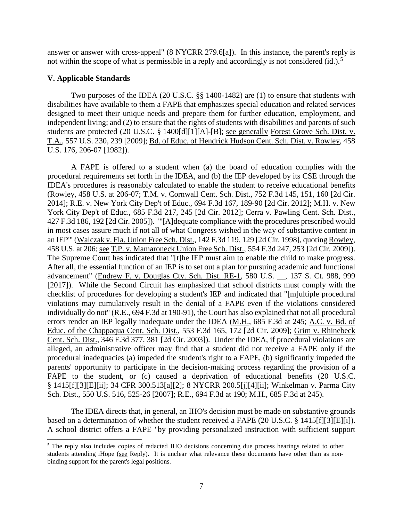answer or answer with cross-appeal" (8 NYCRR 279.6[a]). In this instance, the parent's reply is not within the scope of what is permissible in a reply and accordingly is not considered (id.).<sup>5</sup>

## **V. Applicable Standards**

Two purposes of the IDEA (20 U.S.C. §§ 1400-1482) are (1) to ensure that students with disabilities have available to them a FAPE that emphasizes special education and related services designed to meet their unique needs and prepare them for further education, employment, and independent living; and (2) to ensure that the rights of students with disabilities and parents of such students are protected (20 U.S.C. § 1400[d][1][A]-[B]; see generally Forest Grove Sch. Dist. v. T.A., 557 U.S. 230, 239 [2009]; Bd. of Educ. of Hendrick Hudson Cent. Sch. Dist. v. Rowley, 458 U.S. 176, 206-07 [1982]).

A FAPE is offered to a student when (a) the board of education complies with the procedural requirements set forth in the IDEA, and (b) the IEP developed by its CSE through the IDEA's procedures is reasonably calculated to enable the student to receive educational benefits (Rowley, 458 U.S. at 206-07; T.M. v. Cornwall Cent. Sch. Dist., 752 F.3d 145, 151, 160 [2d Cir. 2014]; R.E. v. New York City Dep't of Educ., 694 F.3d 167, 189-90 [2d Cir. 2012]; M.H. v. New York City Dep't of Educ., 685 F.3d 217, 245 [2d Cir. 2012]; Cerra v. Pawling Cent. Sch. Dist., 427 F.3d 186, 192 [2d Cir. 2005]). "'[A]dequate compliance with the procedures prescribed would in most cases assure much if not all of what Congress wished in the way of substantive content in an IEP'" (Walczak v. Fla. Union Free Sch. Dist., 142 F.3d 119, 129 [2d Cir. 1998], quoting Rowley, 458 U.S. at 206; see T.P. v. Mamaroneck Union Free Sch. Dist., 554 F.3d 247, 253 [2d Cir. 2009]). The Supreme Court has indicated that "[t]he IEP must aim to enable the child to make progress. After all, the essential function of an IEP is to set out a plan for pursuing academic and functional advancement" (Endrew F. v. Douglas Cty. Sch. Dist. RE-1, 580 U.S. \_\_, 137 S. Ct. 988, 999 [2017]). While the Second Circuit has emphasized that school districts must comply with the checklist of procedures for developing a student's IEP and indicated that "[m]ultiple procedural violations may cumulatively result in the denial of a FAPE even if the violations considered individually do not" (R.E., 694 F.3d at 190-91), the Court has also explained that not all procedural errors render an IEP legally inadequate under the IDEA (M.H., 685 F.3d at 245; A.C. v. Bd. of Educ. of the Chappaqua Cent. Sch. Dist., 553 F.3d 165, 172 [2d Cir. 2009]; Grim v. Rhinebeck Cent. Sch. Dist., 346 F.3d 377, 381 [2d Cir. 2003]). Under the IDEA, if procedural violations are alleged, an administrative officer may find that a student did not receive a FAPE only if the procedural inadequacies (a) impeded the student's right to a FAPE, (b) significantly impeded the parents' opportunity to participate in the decision-making process regarding the provision of a FAPE to the student, or (c) caused a deprivation of educational benefits (20 U.S.C. § 1415[f][3][E][ii]; 34 CFR 300.513[a][2]; 8 NYCRR 200.5[j][4][ii]; Winkelman v. Parma City Sch. Dist., 550 U.S. 516, 525-26 [2007]; R.E., 694 F.3d at 190; M.H., 685 F.3d at 245).

The IDEA directs that, in general, an IHO's decision must be made on substantive grounds based on a determination of whether the student received a FAPE (20 U.S.C. § 1415[f][3][E][i]). A school district offers a FAPE "by providing personalized instruction with sufficient support

<sup>&</sup>lt;sup>5</sup> The reply also includes copies of redacted IHO decisions concerning due process hearings related to other students attending iHope (see Reply). It is unclear what relevance these documents have other than as nonbinding support for the parent's legal positions.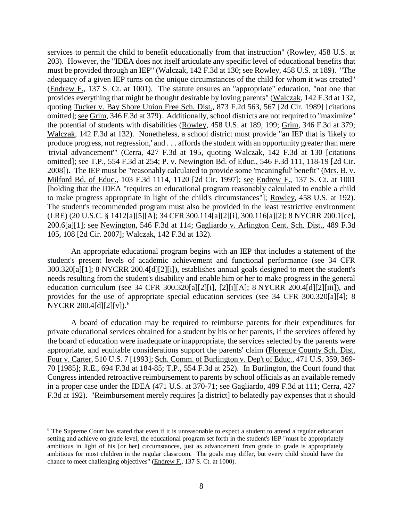services to permit the child to benefit educationally from that instruction" (Rowley, 458 U.S. at 203). However, the "IDEA does not itself articulate any specific level of educational benefits that must be provided through an IEP" (Walczak, 142 F.3d at 130; see Rowley, 458 U.S. at 189). "The adequacy of a given IEP turns on the unique circumstances of the child for whom it was created" (Endrew F., 137 S. Ct. at 1001). The statute ensures an "appropriate" education, "not one that provides everything that might be thought desirable by loving parents" (Walczak, 142 F.3d at 132, quoting Tucker v. Bay Shore Union Free Sch. Dist., 873 F.2d 563, 567 [2d Cir. 1989] [citations omitted]; see Grim, 346 F.3d at 379). Additionally, school districts are not required to "maximize" the potential of students with disabilities (Rowley, 458 U.S. at 189, 199; Grim, 346 F.3d at 379; Walczak, 142 F.3d at 132). Nonetheless, a school district must provide "an IEP that is 'likely to produce progress, not regression,' and . . . affords the student with an opportunity greater than mere 'trivial advancement'" (Cerra, 427 F.3d at 195, quoting Walczak, 142 F.3d at 130 [citations omitted]; see T.P., 554 F.3d at 254; P. v. Newington Bd. of Educ., 546 F.3d 111, 118-19 [2d Cir. 2008]). The IEP must be "reasonably calculated to provide some 'meaningful' benefit" (Mrs. B. v. Milford Bd. of Educ., 103 F.3d 1114, 1120 [2d Cir. 1997]; see Endrew F., 137 S. Ct. at 1001 [holding that the IDEA "requires an educational program reasonably calculated to enable a child to make progress appropriate in light of the child's circumstances"]; Rowley, 458 U.S. at 192). The student's recommended program must also be provided in the least restrictive environment (LRE) (20 U.S.C. § 1412[a][5][A]; 34 CFR 300.114[a][2][i], 300.116[a][2]; 8 NYCRR 200.1[cc], 200.6[a][1]; see Newington, 546 F.3d at 114; Gagliardo v. Arlington Cent. Sch. Dist., 489 F.3d 105, 108 [2d Cir. 2007]; Walczak, 142 F.3d at 132).

An appropriate educational program begins with an IEP that includes a statement of the student's present levels of academic achievement and functional performance (see 34 CFR 300.320[a][1]; 8 NYCRR 200.4[d][2][i]), establishes annual goals designed to meet the student's needs resulting from the student's disability and enable him or her to make progress in the general education curriculum (see 34 CFR 300.320[a][2][i], [2][i][A]; 8 NYCRR 200.4[d][2][iii]), and provides for the use of appropriate special education services (see 34 CFR 300.320[a][4]; 8 NYCRR 200.4[d][2][v]).<sup>6</sup>

A board of education may be required to reimburse parents for their expenditures for private educational services obtained for a student by his or her parents, if the services offered by the board of education were inadequate or inappropriate, the services selected by the parents were appropriate, and equitable considerations support the parents' claim (Florence County Sch. Dist. Four v. Carter, 510 U.S. 7 [1993]; Sch. Comm. of Burlington v. Dep't of Educ., 471 U.S. 359, 369- 70 [1985]; R.E., 694 F.3d at 184-85; T.P., 554 F.3d at 252). In Burlington, the Court found that Congress intended retroactive reimbursement to parents by school officials as an available remedy in a proper case under the IDEA (471 U.S. at 370-71; see Gagliardo, 489 F.3d at 111; Cerra, 427 F.3d at 192). "Reimbursement merely requires [a district] to belatedly pay expenses that it should

<sup>&</sup>lt;sup>6</sup> The Supreme Court has stated that even if it is unreasonable to expect a student to attend a regular education setting and achieve on grade level, the educational program set forth in the student's IEP "must be appropriately ambitious in light of his [or her] circumstances, just as advancement from grade to grade is appropriately ambitious for most children in the regular classroom. The goals may differ, but every child should have the chance to meet challenging objectives" (Endrew F., 137 S. Ct. at 1000).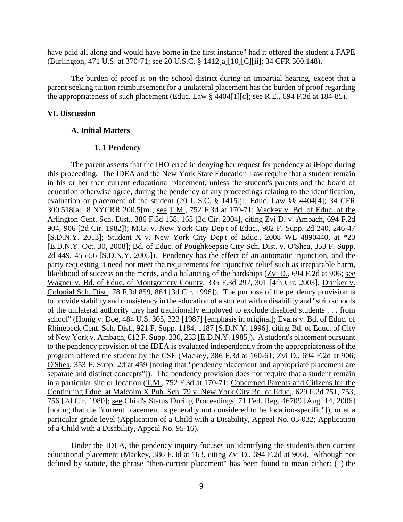have paid all along and would have borne in the first instance" had it offered the student a FAPE (Burlington, 471 U.S. at 370-71; see 20 U.S.C. § 1412[a][10][C][ii]; 34 CFR 300.148).

The burden of proof is on the school district during an impartial hearing, except that a parent seeking tuition reimbursement for a unilateral placement has the burden of proof regarding the appropriateness of such placement (Educ. Law § 4404[1][c]; see R.E., 694 F.3d at 184-85).

## **VI. Discussion**

## **A. Initial Matters**

# **1. 1 Pendency**

The parent asserts that the IHO erred in denying her request for pendency at iHope during this proceeding. The IDEA and the New York State Education Law require that a student remain in his or her then current educational placement, unless the student's parents and the board of education otherwise agree, during the pendency of any proceedings relating to the identification, evaluation or placement of the student (20 U.S.C. § 1415[j]; Educ. Law §§ 4404[4]; 34 CFR 300.518[a]; 8 NYCRR 200.5[m]; see T.M., 752 F.3d at 170-71; Mackey v. Bd. of Educ. of the Arlington Cent. Sch. Dist., 386 F.3d 158, 163 [2d Cir. 2004], citing Zvi D. v. Ambach, 694 F.2d 904, 906 [2d Cir. 1982]); M.G. v. New York City Dep't of Educ., 982 F. Supp. 2d 240, 246-47 [S.D.N.Y. 2013]; Student X v. New York City Dep't of Educ., 2008 WL 4890440, at \*20 [E.D.N.Y. Oct. 30, 2008]; Bd. of Educ. of Poughkeepsie City Sch. Dist. v. O'Shea, 353 F. Supp. 2d 449, 455-56 [S.D.N.Y. 2005]). Pendency has the effect of an automatic injunction, and the party requesting it need not meet the requirements for injunctive relief such as irreparable harm, likelihood of success on the merits, and a balancing of the hardships (Zvi D., 694 F.2d at 906; see Wagner v. Bd. of Educ. of Montgomery County, 335 F.3d 297, 301 [4th Cir. 2003]; Drinker v. Colonial Sch. Dist., 78 F.3d 859, 864 [3d Cir. 1996]). The purpose of the pendency provision is to provide stability and consistency in the education of a student with a disability and "strip schools of the unilateral authority they had traditionally employed to exclude disabled students . . . from school" (Honig v. Doe, 484 U.S. 305, 323 [1987] [emphasis in original]; Evans v. Bd. of Educ. of Rhinebeck Cent. Sch. Dist., 921 F. Supp. 1184, 1187 [S.D.N.Y. 1996], citing Bd. of Educ. of City of New York v. Ambach, 612 F. Supp. 230, 233 [E.D.N.Y. 1985]). A student's placement pursuant to the pendency provision of the IDEA is evaluated independently from the appropriateness of the program offered the student by the CSE (Mackey, 386 F.3d at 160-61; Zvi D., 694 F.2d at 906; O'Shea, 353 F. Supp. 2d at 459 [noting that "pendency placement and appropriate placement are separate and distinct concepts"]). The pendency provision does not require that a student remain in a particular site or location (T.M., 752 F.3d at 170-71; Concerned Parents and Citizens for the Continuing Educ. at Malcolm X Pub. Sch. 79 v. New York City Bd. of Educ., 629 F.2d 751, 753, 756 [2d Cir. 1980]; see Child's Status During Proceedings, 71 Fed. Reg. 46709 [Aug. 14, 2006] [noting that the "current placement is generally not considered to be location-specific"]), or at a particular grade level (Application of a Child with a Disability, Appeal No. 03-032; Application of a Child with a Disability, Appeal No. 95-16).

Under the IDEA, the pendency inquiry focuses on identifying the student's then current educational placement (Mackey, 386 F.3d at 163, citing Zvi D., 694 F.2d at 906). Although not defined by statute, the phrase "then-current placement" has been found to mean either: (1) the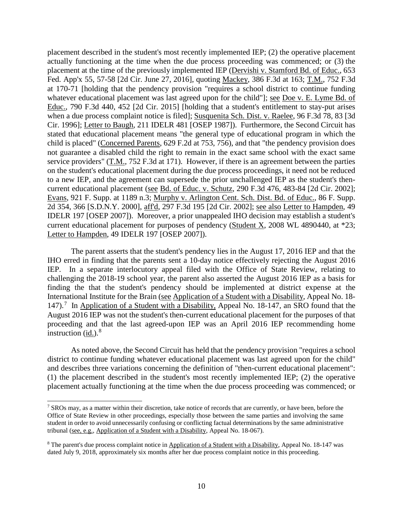placement described in the student's most recently implemented IEP; (2) the operative placement actually functioning at the time when the due process proceeding was commenced; or (3) the placement at the time of the previously implemented IEP (Dervishi v. Stamford Bd. of Educ., 653 Fed. App'x 55, 57-58 [2d Cir. June 27, 2016], quoting Mackey, 386 F.3d at 163; T.M., 752 F.3d at 170-71 [holding that the pendency provision "requires a school district to continue funding whatever educational placement was last agreed upon for the child"]; <u>see Doe v. E. Lyme Bd. of</u> Educ., 790 F.3d 440, 452 [2d Cir. 2015] [holding that a student's entitlement to stay-put arises when a due process complaint notice is filed]; Susquenita Sch. Dist. v. Raelee, 96 F.3d 78, 83 [3d Cir. 1996]; Letter to Baugh, 211 IDELR 481 [OSEP 1987]). Furthermore, the Second Circuit has stated that educational placement means "the general type of educational program in which the child is placed" (Concerned Parents, 629 F.2d at 753, 756), and that "the pendency provision does not guarantee a disabled child the right to remain in the exact same school with the exact same service providers" (T.M., 752 F.3d at 171). However, if there is an agreement between the parties on the student's educational placement during the due process proceedings, it need not be reduced to a new IEP, and the agreement can supersede the prior unchallenged IEP as the student's thencurrent educational placement (see Bd. of Educ. v. Schutz, 290 F.3d 476, 483-84 [2d Cir. 2002]; Evans, 921 F. Supp. at 1189 n.3; Murphy v. Arlington Cent. Sch. Dist. Bd. of Educ., 86 F. Supp. 2d 354, 366 [S.D.N.Y. 2000], aff'd, 297 F.3d 195 [2d Cir. 2002]; see also Letter to Hampden, 49 IDELR 197 [OSEP 2007]). Moreover, a prior unappealed IHO decision may establish a student's current educational placement for purposes of pendency (Student X, 2008 WL 4890440, at \*23; Letter to Hampden, 49 IDELR 197 [OSEP 2007]).

The parent asserts that the student's pendency lies in the August 17, 2016 IEP and that the IHO erred in finding that the parents sent a 10-day notice effectively rejecting the August 2016 IEP. In a separate interlocutory appeal filed with the Office of State Review, relating to challenging the 2018-19 school year, the parent also asserted the August 2016 IEP as a basis for finding the that the student's pendency should be implemented at district expense at the International Institute for the Brain (see Application of a Student with a Disability, Appeal No. 18- 147).<sup>7</sup> In Application of a Student with a Disability, Appeal No. 18-147, an SRO found that the August 2016 IEP was not the student's then-current educational placement for the purposes of that proceeding and that the last agreed-upon IEP was an April 2016 IEP recommending home instruction  $(id.)$ .<sup>8</sup>

As noted above, the Second Circuit has held that the pendency provision "requires a school district to continue funding whatever educational placement was last agreed upon for the child" and describes three variations concerning the definition of "then-current educational placement": (1) the placement described in the student's most recently implemented IEP; (2) the operative placement actually functioning at the time when the due process proceeding was commenced; or

<sup>&</sup>lt;sup>7</sup> SROs may, as a matter within their discretion, take notice of records that are currently, or have been, before the Office of State Review in other proceedings, especially those between the same parties and involving the same student in order to avoid unnecessarily confusing or conflicting factual determinations by the same administrative tribunal (see, e.g., Application of a Student with a Disability, Appeal No. 18-067).

<sup>8</sup> The parent's due process complaint notice in Application of a Student with a Disability, Appeal No. 18-147 was dated July 9, 2018, approximately six months after her due process complaint notice in this proceeding.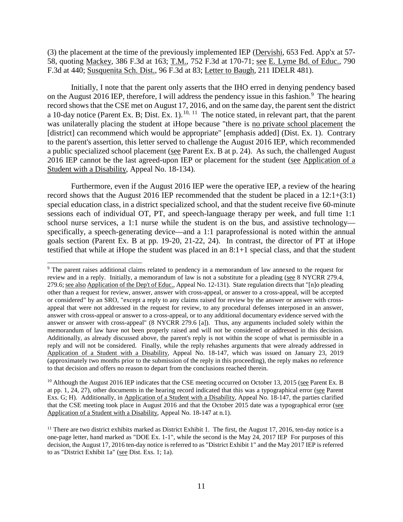(3) the placement at the time of the previously implemented IEP (Dervishi, 653 Fed. App'x at 57- 58, quoting Mackey, 386 F.3d at 163; T.M., 752 F.3d at 170-71; see E. Lyme Bd. of Educ., 790 F.3d at 440; Susquenita Sch. Dist., 96 F.3d at 83; Letter to Baugh, 211 IDELR 481).

Initially, I note that the parent only asserts that the IHO erred in denying pendency based on the August 2016 IEP, therefore, I will address the pendency issue in this fashion.<sup>9</sup> The hearing record shows that the CSE met on August 17, 2016, and on the same day, the parent sent the district a 10-day notice (Parent Ex. B; Dist. Ex. 1).<sup>10, 11</sup> The notice stated, in relevant part, that the parent was unilaterally placing the student at iHope because "there is no private school placement the [district] can recommend which would be appropriate" [emphasis added] (Dist. Ex. 1). Contrary to the parent's assertion, this letter served to challenge the August 2016 IEP, which recommended a public specialized school placement (see Parent Ex. B at p. 24). As such, the challenged August 2016 IEP cannot be the last agreed-upon IEP or placement for the student (see Application of a Student with a Disability, Appeal No. 18-134).

Furthermore, even if the August 2016 IEP were the operative IEP, a review of the hearing record shows that the August 2016 IEP recommended that the student be placed in a 12:1+(3:1) special education class, in a district specialized school, and that the student receive five 60-minute sessions each of individual OT, PT, and speech-language therapy per week, and full time 1:1 school nurse services, a 1:1 nurse while the student is on the bus, and assistive technology specifically, a speech-generating device—and a 1:1 paraprofessional is noted within the annual goals section (Parent Ex. B at pp. 19-20, 21-22, 24). In contrast, the director of PT at iHope testified that while at iHope the student was placed in an 8:1+1 special class, and that the student

<sup>&</sup>lt;sup>9</sup> The parent raises additional claims related to pendency in a memorandum of law annexed to the request for review and in a reply. Initially, a memorandum of law is not a substitute for a pleading (see 8 NYCRR 279.4, 279.6; see also Application of the Dep't of Educ., Appeal No. 12-131). State regulation directs that "[n]o pleading other than a request for review, answer, answer with cross-appeal, or answer to a cross-appeal, will be accepted or considered" by an SRO, "except a reply to any claims raised for review by the answer or answer with crossappeal that were not addressed in the request for review, to any procedural defenses interposed in an answer, answer with cross-appeal or answer to a cross-appeal, or to any additional documentary evidence served with the answer or answer with cross-appeal" (8 NYCRR 279.6 [a]). Thus, any arguments included solely within the memorandum of law have not been properly raised and will not be considered or addressed in this decision. Additionally, as already discussed above, the parent's reply is not within the scope of what is permissible in a reply and will not be considered. Finally, while the reply rehashes arguments that were already addressed in Application of a Student with a Disability, Appeal No. 18-147, which was issued on January 23, 2019 (approximately two months prior to the submission of the reply in this proceeding), the reply makes no reference to that decision and offers no reason to depart from the conclusions reached therein.

<sup>&</sup>lt;sup>10</sup> Although the August 2016 IEP indicates that the CSE meeting occurred on October 13, 2015 (see Parent Ex. B at pp. 1, 24, 27), other documents in the hearing record indicated that this was a typographical error (see Parent Exs. G; H). Additionally, in Application of a Student with a Disability, Appeal No. 18-147, the parties clarified that the CSE meeting took place in August 2016 and that the October 2015 date was a typographical error (see Application of a Student with a Disability, Appeal No. 18-147 at n.1).

 $11$  There are two district exhibits marked as District Exhibit 1. The first, the August 17, 2016, ten-day notice is a one-page letter, hand marked as "DOE Ex. 1-1", while the second is the May 24, 2017 IEP For purposes of this decision, the August 17, 2016 ten-day notice is referred to as "District Exhibit 1" and the May 2017 IEP is referred to as "District Exhibit 1a" (see Dist. Exs. 1; 1a).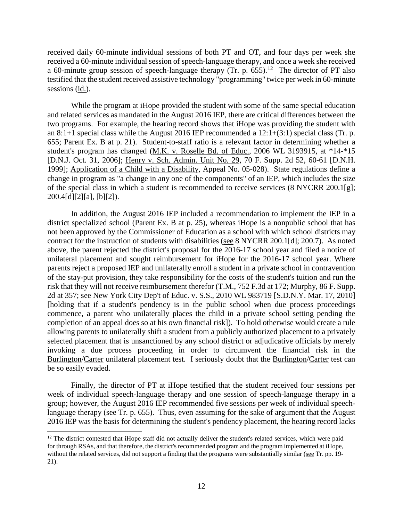received daily 60-minute individual sessions of both PT and OT, and four days per week she received a 60-minute individual session of speech-language therapy, and once a week she received a 60-minute group session of speech-language therapy (Tr. p. 655).<sup>12</sup> The director of PT also testified that the student received assistive technology "programming" twice per week in 60-minute sessions (id.).

While the program at iHope provided the student with some of the same special education and related services as mandated in the August 2016 IEP, there are critical differences between the two programs. For example, the hearing record shows that iHope was providing the student with an 8:1+1 special class while the August 2016 IEP recommended a 12:1+(3:1) special class (Tr. p. 655; Parent Ex. B at p. 21). Student-to-staff ratio is a relevant factor in determining whether a student's program has changed (M.K. v. Roselle Bd. of Educ., 2006 WL 3193915, at \*14-\*15 [D.N.J. Oct. 31, 2006]; Henry v. Sch. Admin. Unit No. 29, 70 F. Supp. 2d 52, 60-61 [D.N.H. 1999]; Application of a Child with a Disability, Appeal No. 05-028). State regulations define a change in program as "a change in any one of the components" of an IEP, which includes the size of the special class in which a student is recommended to receive services (8 NYCRR 200.1[g]; 200.4[d][2][a], [b][2]).

In addition, the August 2016 IEP included a recommendation to implement the IEP in a district specialized school (Parent Ex. B at p. 25), whereas iHope is a nonpublic school that has not been approved by the Commissioner of Education as a school with which school districts may contract for the instruction of students with disabilities (see 8 NYCRR 200.1[d]; 200.7). As noted above, the parent rejected the district's proposal for the 2016-17 school year and filed a notice of unilateral placement and sought reimbursement for iHope for the 2016-17 school year. Where parents reject a proposed IEP and unilaterally enroll a student in a private school in contravention of the stay-put provision, they take responsibility for the costs of the student's tuition and run the risk that they will not receive reimbursement therefor (T.M., 752 F.3d at 172; Murphy, 86 F. Supp. 2d at 357; see New York City Dep't of Educ. v. S.S., 2010 WL 983719 [S.D.N.Y. Mar. 17, 2010] [holding that if a student's pendency is in the public school when due process proceedings commence, a parent who unilaterally places the child in a private school setting pending the completion of an appeal does so at his own financial risk]). To hold otherwise would create a rule allowing parents to unilaterally shift a student from a publicly authorized placement to a privately selected placement that is unsanctioned by any school district or adjudicative officials by merely invoking a due process proceeding in order to circumvent the financial risk in the Burlington/Carter unilateral placement test. I seriously doubt that the Burlington/Carter test can be so easily evaded.

Finally, the director of PT at iHope testified that the student received four sessions per week of individual speech-language therapy and one session of speech-language therapy in a group; however, the August 2016 IEP recommended five sessions per week of individual speechlanguage therapy (see Tr. p. 655). Thus, even assuming for the sake of argument that the August 2016 IEP was the basis for determining the student's pendency placement, the hearing record lacks

<sup>&</sup>lt;sup>12</sup> The district contested that iHope staff did not actually deliver the student's related services, which were paid for through RSAs, and that therefore, the district's recommended program and the program implemented at iHope, without the related services, did not support a finding that the programs were substantially similar (see Tr. pp. 19-21).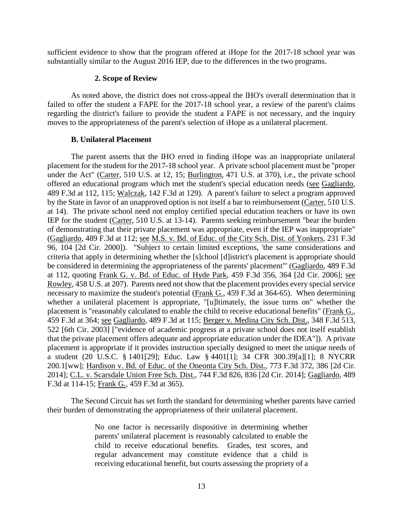sufficient evidence to show that the program offered at iHope for the 2017-18 school year was substantially similar to the August 2016 IEP, due to the differences in the two programs.

## **2. Scope of Review**

As noted above, the district does not cross-appeal the IHO's overall determination that it failed to offer the student a FAPE for the 2017-18 school year, a review of the parent's claims regarding the district's failure to provide the student a FAPE is not necessary, and the inquiry moves to the appropriateness of the parent's selection of iHope as a unilateral placement.

# **B. Unilateral Placement**

The parent asserts that the IHO erred in finding iHope was an inappropriate unilateral placement for the student for the 2017-18 school year. A private school placement must be "proper under the Act" (Carter, 510 U.S. at 12, 15; Burlington, 471 U.S. at 370), i.e., the private school offered an educational program which met the student's special education needs (see Gagliardo, 489 F.3d at 112, 115; Walczak, 142 F.3d at 129). A parent's failure to select a program approved by the State in favor of an unapproved option is not itself a bar to reimbursement (Carter, 510 U.S.) at 14). The private school need not employ certified special education teachers or have its own IEP for the student (Carter, 510 U.S. at 13-14). Parents seeking reimbursement "bear the burden of demonstrating that their private placement was appropriate, even if the IEP was inappropriate" (Gagliardo, 489 F.3d at 112; see M.S. v. Bd. of Educ. of the City Sch. Dist. of Yonkers, 231 F.3d 96, 104 [2d Cir. 2000]). "Subject to certain limited exceptions, 'the same considerations and criteria that apply in determining whether the [s]chool [d]istrict's placement is appropriate should be considered in determining the appropriateness of the parents' placement'" (Gagliardo, 489 F.3d at 112, quoting Frank G. v. Bd. of Educ. of Hyde Park, 459 F.3d 356, 364 [2d Cir. 2006]; see Rowley, 458 U.S. at 207). Parents need not show that the placement provides every special service necessary to maximize the student's potential (Frank G.,  $\overline{459}$  F.3d at 364-65). When determining whether a unilateral placement is appropriate, "[u]ltimately, the issue turns on" whether the placement is "reasonably calculated to enable the child to receive educational benefits" (Frank G., 459 F.3d at 364; see Gagliardo, 489 F.3d at 115; Berger v. Medina City Sch. Dist., 348 F.3d 513, 522 [6th Cir. 2003] ["evidence of academic progress at a private school does not itself establish that the private placement offers adequate and appropriate education under the IDEA"]). A private placement is appropriate if it provides instruction specially designed to meet the unique needs of a student (20 U.S.C. § 1401[29]; Educ. Law § 4401[1]; 34 CFR 300.39[a][1]; 8 NYCRR 200.1[ww]; Hardison v. Bd. of Educ. of the Oneonta City Sch. Dist., 773 F.3d 372, 386 [2d Cir. 2014]; C.L. v. Scarsdale Union Free Sch. Dist., 744 F.3d 826, 836 [2d Cir. 2014]; Gagliardo, 489 F.3d at 114-15; Frank G., 459 F.3d at 365).

The Second Circuit has set forth the standard for determining whether parents have carried their burden of demonstrating the appropriateness of their unilateral placement.

> No one factor is necessarily dispositive in determining whether parents' unilateral placement is reasonably calculated to enable the child to receive educational benefits. Grades, test scores, and regular advancement may constitute evidence that a child is receiving educational benefit, but courts assessing the propriety of a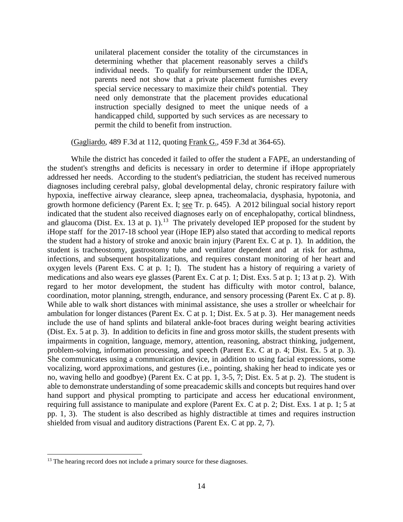unilateral placement consider the totality of the circumstances in determining whether that placement reasonably serves a child's individual needs. To qualify for reimbursement under the IDEA, parents need not show that a private placement furnishes every special service necessary to maximize their child's potential. They need only demonstrate that the placement provides educational instruction specially designed to meet the unique needs of a handicapped child, supported by such services as are necessary to permit the child to benefit from instruction.

(Gagliardo, 489 F.3d at 112, quoting Frank G., 459 F.3d at 364-65).

While the district has conceded it failed to offer the student a FAPE, an understanding of the student's strengths and deficits is necessary in order to determine if iHope appropriately addressed her needs. According to the student's pediatrician, the student has received numerous diagnoses including cerebral palsy, global developmental delay, chronic respiratory failure with hypoxia, ineffective airway clearance, sleep apnea, tracheomalacia, dysphasia, hypotonia, and growth hormone deficiency (Parent Ex. I; see Tr. p. 645). A 2012 bilingual social history report indicated that the student also received diagnoses early on of encephalopathy, cortical blindness, and glaucoma (Dist. Ex. 13 at p. 1).<sup>13</sup> The privately developed IEP proposed for the student by iHope staff for the 2017-18 school year (iHope IEP) also stated that according to medical reports the student had a history of stroke and anoxic brain injury (Parent Ex. C at p. 1). In addition, the student is tracheostomy, gastrostomy tube and ventilator dependent and at risk for asthma, infections, and subsequent hospitalizations, and requires constant monitoring of her heart and oxygen levels (Parent Exs. C at p. 1; I). The student has a history of requiring a variety of medications and also wears eye glasses (Parent Ex. C at p. 1; Dist. Exs. 5 at p. 1; 13 at p. 2). With regard to her motor development, the student has difficulty with motor control, balance, coordination, motor planning, strength, endurance, and sensory processing (Parent Ex. C at p. 8). While able to walk short distances with minimal assistance, she uses a stroller or wheelchair for ambulation for longer distances (Parent Ex. C at p. 1; Dist. Ex. 5 at p. 3). Her management needs include the use of hand splints and bilateral ankle-foot braces during weight bearing activities (Dist. Ex. 5 at p. 3). In addition to deficits in fine and gross motor skills, the student presents with impairments in cognition, language, memory, attention, reasoning, abstract thinking, judgement, problem-solving, information processing, and speech (Parent Ex. C at p. 4; Dist. Ex. 5 at p. 3). She communicates using a communication device, in addition to using facial expressions, some vocalizing, word approximations, and gestures (i.e., pointing, shaking her head to indicate yes or no, waving hello and goodbye) (Parent Ex. C at pp. 1, 3-5, 7; Dist. Ex. 5 at p. 2). The student is able to demonstrate understanding of some preacademic skills and concepts but requires hand over hand support and physical prompting to participate and access her educational environment, requiring full assistance to manipulate and explore (Parent Ex. C at p. 2; Dist. Exs. 1 at p. 1; 5 at pp. 1, 3). The student is also described as highly distractible at times and requires instruction shielded from visual and auditory distractions (Parent Ex. C at pp. 2, 7).

<sup>&</sup>lt;sup>13</sup> The hearing record does not include a primary source for these diagnoses.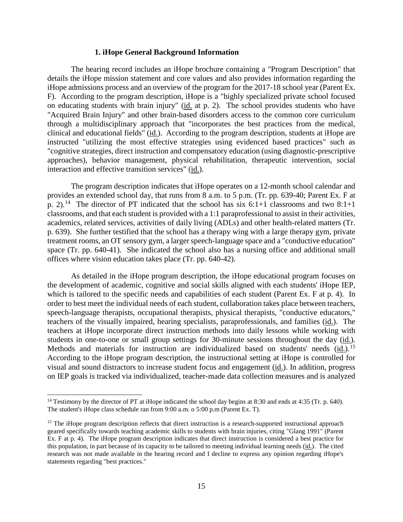#### **1. iHope General Background Information**

The hearing record includes an iHope brochure containing a "Program Description" that details the iHope mission statement and core values and also provides information regarding the iHope admissions process and an overview of the program for the 2017-18 school year (Parent Ex. F). According to the program description, iHope is a "highly specialized private school focused on educating students with brain injury" (id. at p. 2). The school provides students who have "Acquired Brain Injury" and other brain-based disorders access to the common core curriculum through a multidisciplinary approach that "incorporates the best practices from the medical, clinical and educational fields" (id.). According to the program description, students at iHope are instructed "utilizing the most effective strategies using evidenced based practices" such as "cognitive strategies, direct instruction and compensatory education (using diagnostic-prescriptive approaches), behavior management, physical rehabilitation, therapeutic intervention, social interaction and effective transition services" (id.).

The program description indicates that iHope operates on a 12-month school calendar and provides an extended school day, that runs from 8 a.m. to 5 p.m. (Tr. pp. 639-40; Parent Ex. F at p. 2).<sup>14</sup> The director of PT indicated that the school has six 6:1+1 classrooms and two 8:1+1 classrooms, and that each student is provided with a 1:1 paraprofessional to assist in their activities, academics, related services, activities of daily living (ADLs) and other health-related matters (Tr. p. 639). She further testified that the school has a therapy wing with a large therapy gym, private treatment rooms, an OT sensory gym, a larger speech-language space and a "conductive education" space (Tr. pp. 640-41). She indicated the school also has a nursing office and additional small offices where vision education takes place (Tr. pp. 640-42).

As detailed in the iHope program description, the iHope educational program focuses on the development of academic, cognitive and social skills aligned with each students' iHope IEP, which is tailored to the specific needs and capabilities of each student (Parent Ex. F at p. 4). In order to best meet the individual needs of each student, collaboration takes place between teachers, speech-language therapists, occupational therapists, physical therapists, "conductive educators," teachers of the visually impaired, hearing specialists, paraprofessionals, and families (id.). The teachers at iHope incorporate direct instruction methods into daily lessons while working with students in one-to-one or small group settings for 30-minute sessions throughout the day (id.). Methods and materials for instruction are individualized based on students' needs (id.).<sup>15</sup> According to the iHope program description, the instructional setting at iHope is controlled for visual and sound distractors to increase student focus and engagement (id.). In addition, progress on IEP goals is tracked via individualized, teacher-made data collection measures and is analyzed

<sup>&</sup>lt;sup>14</sup> Testimony by the director of PT at iHope indicated the school day begins at 8:30 and ends at 4:35 (Tr. p. 640). The student's iHope class schedule ran from 9:00 a.m. o 5:00 p.m (Parent Ex. T).

<sup>&</sup>lt;sup>15</sup> The iHope program description reflects that direct instruction is a research-supported instructional approach geared specifically towards teaching academic skills to students with brain injuries, citing "Glang 1991" (Parent Ex. F at p. 4). The iHope program description indicates that direct instruction is considered a best practice for this population, in part because of its capacity to be tailored to meeting individual learning needs (id.). The cited research was not made available in the hearing record and I decline to express any opinion regarding iHope's statements regarding "best practices."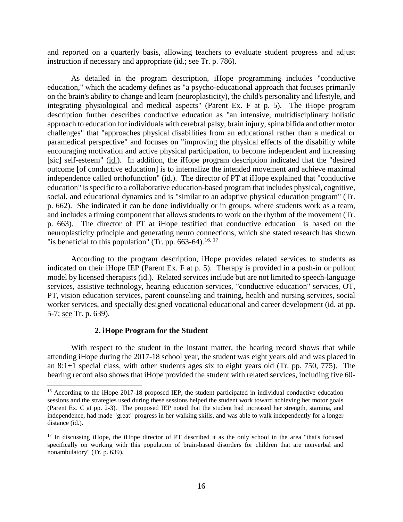and reported on a quarterly basis, allowing teachers to evaluate student progress and adjust instruction if necessary and appropriate (id.; see Tr. p. 786).

As detailed in the program description, iHope programming includes "conductive education," which the academy defines as "a psycho-educational approach that focuses primarily on the brain's ability to change and learn (neuroplasticity), the child's personality and lifestyle, and integrating physiological and medical aspects" (Parent Ex. F at p. 5). The iHope program description further describes conductive education as "an intensive, multidisciplinary holistic approach to education for individuals with cerebral palsy, brain injury, spina bifida and other motor challenges" that "approaches physical disabilities from an educational rather than a medical or paramedical perspective" and focuses on "improving the physical effects of the disability while encouraging motivation and active physical participation, to become independent and increasing [sic] self-esteem" (id.). In addition, the iHope program description indicated that the "desired outcome [of conductive education] is to internalize the intended movement and achieve maximal independence called orthofunction" (id.). The director of PT at iHope explained that "conductive education" is specific to a collaborative education-based program that includes physical, cognitive, social, and educational dynamics and is "similar to an adaptive physical education program" (Tr. p. 662). She indicated it can be done individually or in groups, where students work as a team, and includes a timing component that allows students to work on the rhythm of the movement (Tr. p. 663). The director of PT at iHope testified that conductive education is based on the neuroplasticity principle and generating neuro connections, which she stated research has shown "is beneficial to this population" (Tr. pp. 663-64).<sup>16, 17</sup>

According to the program description, iHope provides related services to students as indicated on their iHope IEP (Parent Ex. F at p. 5). Therapy is provided in a push-in or pullout model by licensed therapists (id.). Related services include but are not limited to speech-language services, assistive technology, hearing education services, "conductive education" services, OT, PT, vision education services, parent counseling and training, health and nursing services, social worker services, and specially designed vocational educational and career development (id. at pp. 5-7; see Tr. p. 639).

#### **2. iHope Program for the Student**

With respect to the student in the instant matter, the hearing record shows that while attending iHope during the 2017-18 school year, the student was eight years old and was placed in an 8:1+1 special class, with other students ages six to eight years old (Tr. pp. 750, 775). The hearing record also shows that iHope provided the student with related services, including five 60-

<sup>&</sup>lt;sup>16</sup> According to the iHope 2017-18 proposed IEP, the student participated in individual conductive education sessions and the strategies used during these sessions helped the student work toward achieving her motor goals (Parent Ex. C at pp. 2-3). The proposed IEP noted that the student had increased her strength, stamina, and independence, had made "great" progress in her walking skills, and was able to walk independently for a longer distance (id.).

<sup>&</sup>lt;sup>17</sup> In discussing iHope, the iHope director of PT described it as the only school in the area "that's focused specifically on working with this population of brain-based disorders for children that are nonverbal and nonambulatory" (Tr. p. 639).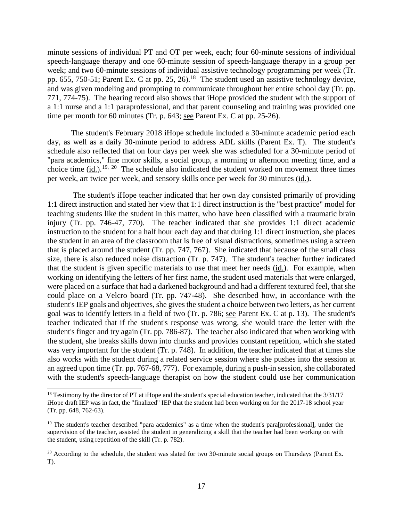minute sessions of individual PT and OT per week, each; four 60-minute sessions of individual speech-language therapy and one 60-minute session of speech-language therapy in a group per week; and two 60-minute sessions of individual assistive technology programming per week (Tr. pp. 655, 750-51; Parent Ex. C at pp. 25, 26).<sup>18</sup> The student used an assistive technology device, and was given modeling and prompting to communicate throughout her entire school day (Tr. pp. 771, 774-75). The hearing record also shows that iHope provided the student with the support of a 1:1 nurse and a 1:1 paraprofessional, and that parent counseling and training was provided one time per month for 60 minutes (Tr. p. 643; see Parent Ex. C at pp. 25-26).

The student's February 2018 iHope schedule included a 30-minute academic period each day, as well as a daily 30-minute period to address ADL skills (Parent Ex. T). The student's schedule also reflected that on four days per week she was scheduled for a 30-minute period of "para academics," fine motor skills, a social group, a morning or afternoon meeting time, and a choice time (id.).<sup>19, 20</sup> The schedule also indicated the student worked on movement three times per week, art twice per week, and sensory skills once per week for 30 minutes (id.).

The student's iHope teacher indicated that her own day consisted primarily of providing 1:1 direct instruction and stated her view that 1:1 direct instruction is the "best practice" model for teaching students like the student in this matter, who have been classified with a traumatic brain injury (Tr. pp. 746-47, 770). The teacher indicated that she provides 1:1 direct academic instruction to the student for a half hour each day and that during 1:1 direct instruction, she places the student in an area of the classroom that is free of visual distractions, sometimes using a screen that is placed around the student (Tr. pp. 747, 767). She indicated that because of the small class size, there is also reduced noise distraction (Tr. p. 747). The student's teacher further indicated that the student is given specific materials to use that meet her needs (id.). For example, when working on identifying the letters of her first name, the student used materials that were enlarged, were placed on a surface that had a darkened background and had a different textured feel, that she could place on a Velcro board (Tr. pp. 747-48). She described how, in accordance with the student's IEP goals and objectives, she gives the student a choice between two letters, as her current goal was to identify letters in a field of two (Tr. p. 786; see Parent Ex. C at p. 13). The student's teacher indicated that if the student's response was wrong, she would trace the letter with the student's finger and try again (Tr. pp. 786-87). The teacher also indicated that when working with the student, she breaks skills down into chunks and provides constant repetition, which she stated was very important for the student (Tr. p. 748). In addition, the teacher indicated that at times she also works with the student during a related service session where she pushes into the session at an agreed upon time (Tr. pp. 767-68, 777). For example, during a push-in session, she collaborated with the student's speech-language therapist on how the student could use her communication

<sup>&</sup>lt;sup>18</sup> Testimony by the director of PT at iHope and the student's special education teacher, indicated that the 3/31/17 iHope draft IEP was in fact, the "finalized" IEP that the student had been working on for the 2017-18 school year (Tr. pp. 648, 762-63).

<sup>&</sup>lt;sup>19</sup> The student's teacher described "para academics" as a time when the student's para[professional], under the supervision of the teacher, assisted the student in generalizing a skill that the teacher had been working on with the student, using repetition of the skill (Tr. p. 782).

 $20$  According to the schedule, the student was slated for two 30-minute social groups on Thursdays (Parent Ex. T).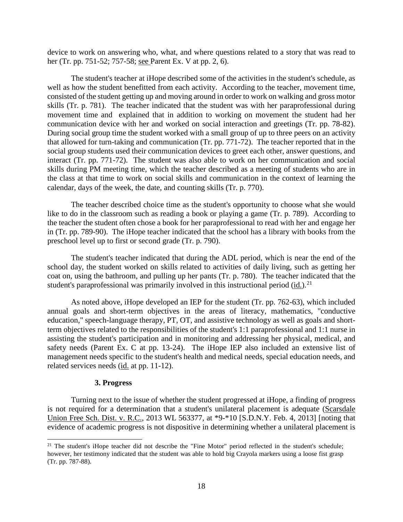device to work on answering who, what, and where questions related to a story that was read to her (Tr. pp. 751-52; 757-58; see Parent Ex. V at pp. 2, 6).

The student's teacher at iHope described some of the activities in the student's schedule, as well as how the student benefitted from each activity. According to the teacher, movement time, consisted of the student getting up and moving around in order to work on walking and gross motor skills (Tr. p. 781). The teacher indicated that the student was with her paraprofessional during movement time and explained that in addition to working on movement the student had her communication device with her and worked on social interaction and greetings (Tr. pp. 78-82). During social group time the student worked with a small group of up to three peers on an activity that allowed for turn-taking and communication (Tr. pp. 771-72). The teacher reported that in the social group students used their communication devices to greet each other, answer questions, and interact (Tr. pp. 771-72). The student was also able to work on her communication and social skills during PM meeting time, which the teacher described as a meeting of students who are in the class at that time to work on social skills and communication in the context of learning the calendar, days of the week, the date, and counting skills (Tr. p. 770).

The teacher described choice time as the student's opportunity to choose what she would like to do in the classroom such as reading a book or playing a game (Tr. p. 789). According to the teacher the student often chose a book for her paraprofessional to read with her and engage her in (Tr. pp. 789-90). The iHope teacher indicated that the school has a library with books from the preschool level up to first or second grade (Tr. p. 790).

The student's teacher indicated that during the ADL period, which is near the end of the school day, the student worked on skills related to activities of daily living, such as getting her coat on, using the bathroom, and pulling up her pants (Tr. p. 780). The teacher indicated that the student's paraprofessional was primarily involved in this instructional period  $(id.)$ <sup>21</sup>

As noted above, iHope developed an IEP for the student (Tr. pp. 762-63), which included annual goals and short-term objectives in the areas of literacy, mathematics, "conductive education," speech-language therapy, PT, OT, and assistive technology as well as goals and shortterm objectives related to the responsibilities of the student's 1:1 paraprofessional and 1:1 nurse in assisting the student's participation and in monitoring and addressing her physical, medical, and safety needs (Parent Ex. C at pp. 13-24). The iHope IEP also included an extensive list of management needs specific to the student's health and medical needs, special education needs, and related services needs (id. at pp. 11-12).

#### **3. Progress**

Turning next to the issue of whether the student progressed at iHope, a finding of progress is not required for a determination that a student's unilateral placement is adequate (Scarsdale Union Free Sch. Dist. v. R.C., 2013 WL 563377, at \*9-\*10 [S.D.N.Y. Feb. 4, 2013] [noting that evidence of academic progress is not dispositive in determining whether a unilateral placement is

<sup>&</sup>lt;sup>21</sup> The student's iHope teacher did not describe the "Fine Motor" period reflected in the student's schedule; however, her testimony indicated that the student was able to hold big Crayola markers using a loose fist grasp (Tr. pp. 787-88).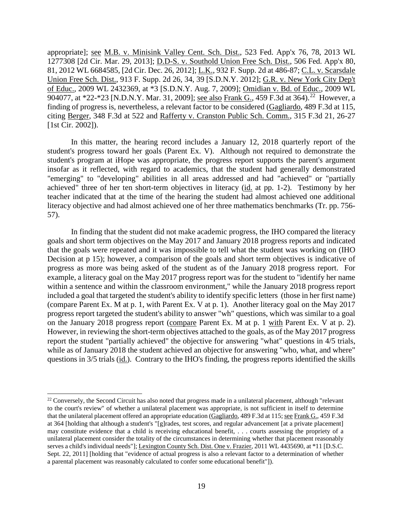appropriate]; see M.B. v. Minisink Valley Cent. Sch. Dist., 523 Fed. App'x 76, 78, 2013 WL 1277308 [2d Cir. Mar. 29, 2013]; D.D-S. v. Southold Union Free Sch. Dist., 506 Fed. App'x 80, 81, 2012 WL 6684585, [2d Cir. Dec. 26, 2012]; L.K., 932 F. Supp. 2d at 486-87; C.L. v. Scarsdale Union Free Sch. Dist., 913 F. Supp. 2d 26, 34, 39 [S.D.N.Y. 2012]; G.R. v. New York City Dep't of Educ., 2009 WL 2432369, at \*3 [S.D.N.Y. Aug. 7, 2009]; Omidian v. Bd. of Educ., 2009 WL 904077, at \*22-\*23 [N.D.N.Y. Mar. 31, 2009]; see also Frank G., 459 F.3d at 364).<sup>22</sup> However, a finding of progress is, nevertheless, a relevant factor to be considered (Gagliardo, 489 F.3d at 115, citing Berger, 348 F.3d at 522 and Rafferty v. Cranston Public Sch. Comm., 315 F.3d 21, 26-27 [1st Cir. 2002]).

In this matter, the hearing record includes a January 12, 2018 quarterly report of the student's progress toward her goals (Parent Ex. V). Although not required to demonstrate the student's program at iHope was appropriate, the progress report supports the parent's argument insofar as it reflected, with regard to academics, that the student had generally demonstrated "emerging" to "developing" abilities in all areas addressed and had "achieved" or "partially achieved" three of her ten short-term objectives in literacy (id. at pp. 1-2). Testimony by her teacher indicated that at the time of the hearing the student had almost achieved one additional literacy objective and had almost achieved one of her three mathematics benchmarks (Tr. pp. 756- 57).

In finding that the student did not make academic progress, the IHO compared the literacy goals and short term objectives on the May 2017 and January 2018 progress reports and indicated that the goals were repeated and it was impossible to tell what the student was working on (IHO Decision at p 15); however, a comparison of the goals and short term objectives is indicative of progress as more was being asked of the student as of the January 2018 progress report. For example, a literacy goal on the May 2017 progress report was for the student to "identify her name within a sentence and within the classroom environment," while the January 2018 progress report included a goal that targeted the student's ability to identify specific letters (those in her first name) (compare Parent Ex. M at p. 1, with Parent Ex. V at p. 1). Another literacy goal on the May 2017 progress report targeted the student's ability to answer "wh" questions, which was similar to a goal on the January 2018 progress report (compare Parent Ex. M at p. 1 with Parent Ex. V at p. 2). However, in reviewing the short-term objectives attached to the goals, as of the May 2017 progress report the student "partially achieved" the objective for answering "what" questions in 4/5 trials, while as of January 2018 the student achieved an objective for answering "who, what, and where" questions in 3/5 trials (id.). Contrary to the IHO's finding, the progress reports identified the skills

 $22$  Conversely, the Second Circuit has also noted that progress made in a unilateral placement, although "relevant" to the court's review" of whether a unilateral placement was appropriate, is not sufficient in itself to determine that the unilateral placement offered an appropriate education (Gagliardo, 489 F.3d at 115; see Frank G., 459 F.3d at 364 [holding that although a student's "[g]rades, test scores, and regular advancement [at a private placement] may constitute evidence that a child is receiving educational benefit, . . . courts assessing the propriety of a unilateral placement consider the totality of the circumstances in determining whether that placement reasonably serves a child's individual needs"]; Lexington County Sch. Dist. One v. Frazier, 2011 WL 4435690, at \*11 [D.S.C. Sept. 22, 2011] [holding that "evidence of actual progress is also a relevant factor to a determination of whether a parental placement was reasonably calculated to confer some educational benefit"]).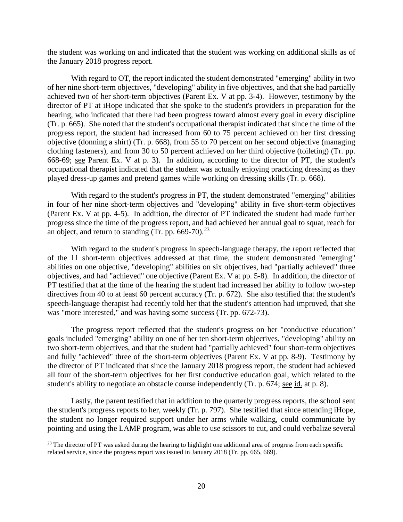the student was working on and indicated that the student was working on additional skills as of the January 2018 progress report.

With regard to OT, the report indicated the student demonstrated "emerging" ability in two of her nine short-term objectives, "developing" ability in five objectives, and that she had partially achieved two of her short-term objectives (Parent Ex. V at pp. 3-4). However, testimony by the director of PT at iHope indicated that she spoke to the student's providers in preparation for the hearing, who indicated that there had been progress toward almost every goal in every discipline (Tr. p. 665). She noted that the student's occupational therapist indicated that since the time of the progress report, the student had increased from 60 to 75 percent achieved on her first dressing objective (donning a shirt) (Tr. p. 668), from 55 to 70 percent on her second objective (managing clothing fasteners), and from 30 to 50 percent achieved on her third objective (toileting) (Tr. pp. 668-69; see Parent Ex. V at p. 3). In addition, according to the director of PT, the student's occupational therapist indicated that the student was actually enjoying practicing dressing as they played dress-up games and pretend games while working on dressing skills (Tr. p. 668).

With regard to the student's progress in PT, the student demonstrated "emerging" abilities in four of her nine short-term objectives and "developing" ability in five short-term objectives (Parent Ex. V at pp. 4-5). In addition, the director of PT indicated the student had made further progress since the time of the progress report, and had achieved her annual goal to squat, reach for an object, and return to standing (Tr. pp.  $669-70$ ).<sup>23</sup>

With regard to the student's progress in speech-language therapy, the report reflected that of the 11 short-term objectives addressed at that time, the student demonstrated "emerging" abilities on one objective, "developing" abilities on six objectives, had "partially achieved" three objectives, and had "achieved" one objective (Parent Ex. V at pp. 5-8). In addition, the director of PT testified that at the time of the hearing the student had increased her ability to follow two-step directives from 40 to at least 60 percent accuracy (Tr. p. 672). She also testified that the student's speech-language therapist had recently told her that the student's attention had improved, that she was "more interested," and was having some success (Tr. pp. 672-73).

The progress report reflected that the student's progress on her "conductive education" goals included "emerging" ability on one of her ten short-term objectives, "developing" ability on two short-term objectives, and that the student had "partially achieved" four short-term objectives and fully "achieved" three of the short-term objectives (Parent Ex. V at pp. 8-9). Testimony by the director of PT indicated that since the January 2018 progress report, the student had achieved all four of the short-term objectives for her first conductive education goal, which related to the student's ability to negotiate an obstacle course independently (Tr. p. 674; see id. at p. 8).

Lastly, the parent testified that in addition to the quarterly progress reports, the school sent the student's progress reports to her, weekly (Tr. p. 797). She testified that since attending iHope, the student no longer required support under her arms while walking, could communicate by pointing and using the LAMP program, was able to use scissors to cut, and could verbalize several

 $^{23}$  The director of PT was asked during the hearing to highlight one additional area of progress from each specific related service, since the progress report was issued in January 2018 (Tr. pp. 665, 669).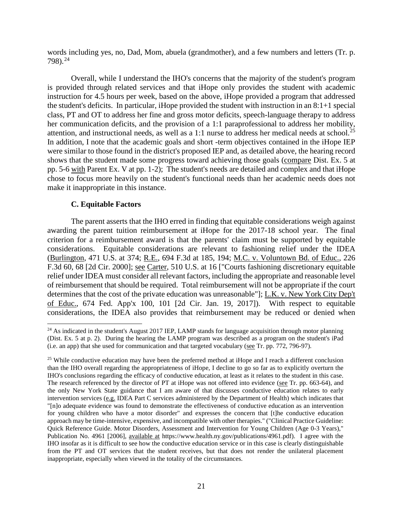words including yes, no, Dad, Mom, abuela (grandmother), and a few numbers and letters (Tr. p. 798).<sup>24</sup>

Overall, while I understand the IHO's concerns that the majority of the student's program is provided through related services and that iHope only provides the student with academic instruction for 4.5 hours per week, based on the above, iHope provided a program that addressed the student's deficits. In particular, iHope provided the student with instruction in an 8:1+1 special class, PT and OT to address her fine and gross motor deficits, speech-language therapy to address her communication deficits, and the provision of a 1:1 paraprofessional to address her mobility, attention, and instructional needs, as well as a 1:1 nurse to address her medical needs at school. 25 In addition, I note that the academic goals and short -term objectives contained in the iHope IEP were similar to those found in the district's proposed IEP and, as detailed above, the hearing record shows that the student made some progress toward achieving those goals (compare Dist. Ex. 5 at pp. 5-6 with Parent Ex. V at pp. 1-2); The student's needs are detailed and complex and that iHope chose to focus more heavily on the student's functional needs than her academic needs does not make it inappropriate in this instance.

#### **C. Equitable Factors**

The parent asserts that the IHO erred in finding that equitable considerations weigh against awarding the parent tuition reimbursement at iHope for the 2017-18 school year. The final criterion for a reimbursement award is that the parents' claim must be supported by equitable considerations. Equitable considerations are relevant to fashioning relief under the IDEA (Burlington, 471 U.S. at 374; R.E., 694 F.3d at 185, 194; M.C. v. Voluntown Bd. of Educ., 226 F.3d 60, 68 [2d Cir. 2000]; see Carter, 510 U.S. at 16 ["Courts fashioning discretionary equitable relief under IDEA must consider all relevant factors, including the appropriate and reasonable level of reimbursement that should be required. Total reimbursement will not be appropriate if the court determines that the cost of the private education was unreasonable"]; L.K. v. New York City Dep't of Educ., 674 Fed. App'x 100, 101 [2d Cir. Jan. 19, 2017]). With respect to equitable considerations, the IDEA also provides that reimbursement may be reduced or denied when

<sup>&</sup>lt;sup>24</sup> As indicated in the student's August 2017 IEP, LAMP stands for language acquisition through motor planning (Dist. Ex. 5 at p. 2). During the hearing the LAMP program was described as a program on the student's iPad (i.e. an app) that she used for communication and that targeted vocabulary (see Tr. pp. 772, 796-97).

<sup>&</sup>lt;sup>25</sup> While conductive education may have been the preferred method at iHope and I reach a different conclusion than the IHO overall regarding the appropriateness of iHope, I decline to go so far as to explicitly overturn the IHO's conclusions regarding the efficacy of conductive education, at least as it relates to the student in this case. The research referenced by the director of PT at iHope was not offered into evidence (see Tr. pp. 663-64), and the only New York State guidance that I am aware of that discusses conductive education relates to early intervention services (e.g. IDEA Part C services administered by the Department of Health) which indicates that "[n]o adequate evidence was found to demonstrate the effectiveness of conductive education as an intervention for young children who have a motor disorder" and expresses the concern that [t]he conductive education approach may be time-intensive, expensive, and incompatible with other therapies." ("Clinical Practice Guideline: Quick Reference Guide. Motor Disorders, Assessment and Intervention for Young Children (Age 0-3 Years)," Publication No. 4961 [2006], available at https://www.health.ny.gov/publications/4961.pdf). I agree with the IHO insofar as it is difficult to see how the conductive education service or in this case is clearly distinguishable from the PT and OT services that the student receives, but that does not render the unilateral placement inappropriate, especially when viewed in the totality of the circumstances.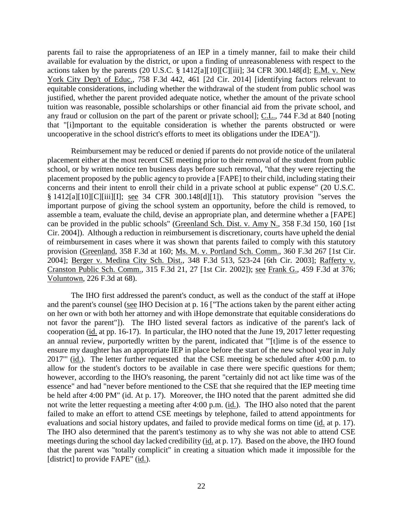parents fail to raise the appropriateness of an IEP in a timely manner, fail to make their child available for evaluation by the district, or upon a finding of unreasonableness with respect to the actions taken by the parents (20 U.S.C. § 1412[a][10][C][iii]; 34 CFR 300.148[d]; E.M. v. New York City Dep't of Educ., 758 F.3d 442, 461 [2d Cir. 2014] [identifying factors relevant to equitable considerations, including whether the withdrawal of the student from public school was justified, whether the parent provided adequate notice, whether the amount of the private school tuition was reasonable, possible scholarships or other financial aid from the private school, and any fraud or collusion on the part of the parent or private school]; C.L., 744 F.3d at 840 [noting that "[i]mportant to the equitable consideration is whether the parents obstructed or were uncooperative in the school district's efforts to meet its obligations under the IDEA"]).

Reimbursement may be reduced or denied if parents do not provide notice of the unilateral placement either at the most recent CSE meeting prior to their removal of the student from public school, or by written notice ten business days before such removal, "that they were rejecting the placement proposed by the public agency to provide a [FAPE] to their child, including stating their concerns and their intent to enroll their child in a private school at public expense" (20 U.S.C. § 1412[a][10][C][iii][I]; see 34 CFR 300.148[d][1]). This statutory provision "serves the important purpose of giving the school system an opportunity, before the child is removed, to assemble a team, evaluate the child, devise an appropriate plan, and determine whether a [FAPE] can be provided in the public schools" (Greenland Sch. Dist. v. Amy N., 358 F.3d 150, 160 [1st Cir. 2004]). Although a reduction in reimbursement is discretionary, courts have upheld the denial of reimbursement in cases where it was shown that parents failed to comply with this statutory provision (Greenland, 358 F.3d at 160; Ms. M. v. Portland Sch. Comm., 360 F.3d 267 [1st Cir. 2004]; Berger v. Medina City Sch. Dist., 348 F.3d 513, 523-24 [6th Cir. 2003]; Rafferty v. Cranston Public Sch. Comm., 315 F.3d 21, 27 [1st Cir. 2002]); see Frank G., 459 F.3d at 376; Voluntown, 226 F.3d at 68).

The IHO first addressed the parent's conduct, as well as the conduct of the staff at iHope and the parent's counsel (see IHO Decision at p. 16 ["The actions taken by the parent either acting on her own or with both her attorney and with iHope demonstrate that equitable considerations do not favor the parent"]). The IHO listed several factors as indicative of the parent's lack of cooperation (id. at pp. 16-17). In particular, the IHO noted that the June 19, 2017 letter requesting an annual review, purportedly written by the parent, indicated that "'[t]ime is of the essence to ensure my daughter has an appropriate IEP in place before the start of the new school year in July 2017"" (id.). The letter further requested that the CSE meeting be scheduled after 4:00 p.m. to allow for the student's doctors to be available in case there were specific questions for them; however, according to the IHO's reasoning, the parent "certainly did not act like time was of the essence" and had "never before mentioned to the CSE that she required that the IEP meeting time be held after 4:00 PM" (id. At p. 17). Moreover, the IHO noted that the parent admitted she did not write the letter requesting a meeting after 4:00 p.m. (id.). The IHO also noted that the parent failed to make an effort to attend CSE meetings by telephone, failed to attend appointments for evaluations and social history updates, and failed to provide medical forms on time (id. at p. 17). The IHO also determined that the parent's testimony as to why she was not able to attend CSE meetings during the school day lacked credibility (id. at p. 17). Based on the above, the IHO found that the parent was "totally complicit" in creating a situation which made it impossible for the [district] to provide FAPE" (id.).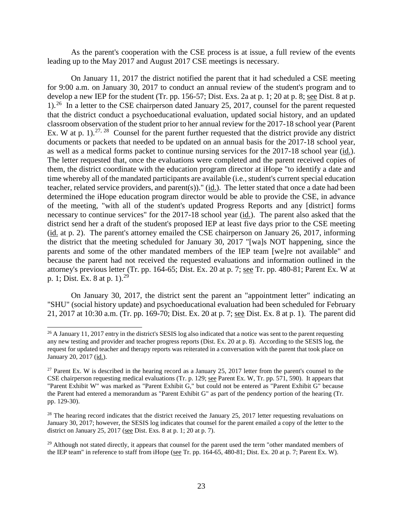As the parent's cooperation with the CSE process is at issue, a full review of the events leading up to the May 2017 and August 2017 CSE meetings is necessary.

On January 11, 2017 the district notified the parent that it had scheduled a CSE meeting for 9:00 a.m. on January 30, 2017 to conduct an annual review of the student's program and to develop a new IEP for the student (Tr. pp. 156-57; Dist. Exs. 2a at p. 1; 20 at p. 8; see Dist. 8 at p. 1).26 In a letter to the CSE chairperson dated January 25, 2017, counsel for the parent requested that the district conduct a psychoeducational evaluation, updated social history, and an updated classroom observation of the student prior to her annual review for the 2017-18 school year (Parent Ex. W at p. 1).<sup>27, 28</sup> Counsel for the parent further requested that the district provide any district documents or packets that needed to be updated on an annual basis for the 2017-18 school year, as well as a medical forms packet to continue nursing services for the 2017-18 school year (id.). The letter requested that, once the evaluations were completed and the parent received copies of them, the district coordinate with the education program director at iHope "to identify a date and time whereby all of the mandated participants are available (i.e., student's current special education teacher, related service providers, and parent(s))." ( $\underline{id}$ ). The letter stated that once a date had been determined the iHope education program director would be able to provide the CSE, in advance of the meeting, "with all of the student's updated Progress Reports and any [district] forms necessary to continue services" for the 2017-18 school year (id.). The parent also asked that the district send her a draft of the student's proposed IEP at least five days prior to the CSE meeting (id. at p. 2). The parent's attorney emailed the CSE chairperson on January 26, 2017, informing the district that the meeting scheduled for January 30, 2017 "[wa]s NOT happening, since the parents and some of the other mandated members of the IEP team [we]re not available" and because the parent had not received the requested evaluations and information outlined in the attorney's previous letter (Tr. pp. 164-65; Dist. Ex. 20 at p. 7; see Tr. pp. 480-81; Parent Ex. W at p. 1; Dist. Ex. 8 at p. 1).<sup>29</sup>

On January 30, 2017, the district sent the parent an "appointment letter" indicating an "SHU" (social history update) and psychoeducational evaluation had been scheduled for February 21, 2017 at 10:30 a.m. (Tr. pp. 169-70; Dist. Ex. 20 at p. 7; see Dist. Ex. 8 at p. 1). The parent did

 $26$  A January 11, 2017 entry in the district's SESIS log also indicated that a notice was sent to the parent requesting any new testing and provider and teacher progress reports (Dist. Ex. 20 at p. 8). According to the SESIS log, the request for updated teacher and therapy reports was reiterated in a conversation with the parent that took place on January 20, 2017 (id.).

<sup>&</sup>lt;sup>27</sup> Parent Ex. W is described in the hearing record as a January  $25$ ,  $2017$  letter from the parent's counsel to the CSE chairperson requesting medical evaluations (Tr. p. 129; see Parent Ex. W, Tr. pp. 571, 590). It appears that "Parent Exhibit W" was marked as "Parent Exhibit G," but could not be entered as "Parent Exhibit G" because the Parent had entered a memorandum as "Parent Exhibit G" as part of the pendency portion of the hearing (Tr. pp. 129-30).

<sup>&</sup>lt;sup>28</sup> The hearing record indicates that the district received the January 25, 2017 letter requesting revaluations on January 30, 2017; however, the SESIS log indicates that counsel for the parent emailed a copy of the letter to the district on January 25, 2017 (see Dist. Exs. 8 at p. 1; 20 at p. 7).

<sup>&</sup>lt;sup>29</sup> Although not stated directly, it appears that counsel for the parent used the term "other mandated members of the IEP team" in reference to staff from iHope (see Tr. pp. 164-65, 480-81; Dist. Ex. 20 at p. 7; Parent Ex. W).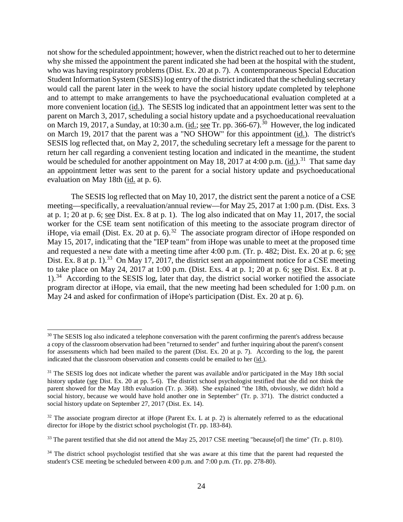not show for the scheduled appointment; however, when the district reached out to her to determine why she missed the appointment the parent indicated she had been at the hospital with the student, who was having respiratory problems (Dist. Ex. 20 at p. 7). A contemporaneous Special Education Student Information System (SESIS) log entry of the district indicated that the scheduling secretary would call the parent later in the week to have the social history update completed by telephone and to attempt to make arrangements to have the psychoeducational evaluation completed at a more convenient location (id.). The SESIS log indicated that an appointment letter was sent to the parent on March 3, 2017, scheduling a social history update and a psychoeducational reevaluation on March 19, 2017, a Sunday, at 10:30 a.m. ( $\underline{\text{id.}}$ ; see Tr. pp. 366-67).<sup>30</sup> However, the log indicated on March 19, 2017 that the parent was a "NO SHOW" for this appointment (id.). The district's SESIS log reflected that, on May 2, 2017, the scheduling secretary left a message for the parent to return her call regarding a convenient testing location and indicated in the meantime, the student would be scheduled for another appointment on May 18, 2017 at 4:00 p.m. (id.).<sup>31</sup> That same day an appointment letter was sent to the parent for a social history update and psychoeducational evaluation on May 18th (id. at p. 6).

The SESIS log reflected that on May 10, 2017, the district sent the parent a notice of a CSE meeting—specifically, a reevaluation/annual review—for May 25, 2017 at 1:00 p.m. (Dist. Exs. 3 at p. 1; 20 at p. 6; see Dist. Ex. 8 at p. 1). The log also indicated that on May 11, 2017, the social worker for the CSE team sent notification of this meeting to the associate program director of iHope, via email (Dist. Ex. 20 at p. 6).<sup>32</sup> The associate program director of iHope responded on May 15, 2017, indicating that the "IEP team" from iHope was unable to meet at the proposed time and requested a new date with a meeting time after 4:00 p.m. (Tr. p. 482; Dist. Ex. 20 at p. 6; see Dist. Ex. 8 at p. 1).<sup>33</sup> On May 17, 2017, the district sent an appointment notice for a CSE meeting to take place on May 24, 2017 at 1:00 p.m. (Dist. Exs. 4 at p. 1; 20 at p. 6; see Dist. Ex. 8 at p.  $1$ .<sup>34</sup> According to the SESIS log, later that day, the district social worker notified the associate program director at iHope, via email, that the new meeting had been scheduled for 1:00 p.m. on May 24 and asked for confirmation of iHope's participation (Dist. Ex. 20 at p. 6).

<sup>&</sup>lt;sup>30</sup> The SESIS log also indicated a telephone conversation with the parent confirming the parent's address because a copy of the classroom observation had been "returned to sender" and further inquiring about the parent's consent for assessments which had been mailed to the parent (Dist. Ex. 20 at p. 7). According to the log, the parent indicated that the classroom observation and consents could be emailed to her (id.).

<sup>&</sup>lt;sup>31</sup> The SESIS log does not indicate whether the parent was available and/or participated in the May 18th social history update (see Dist. Ex. 20 at pp. 5-6). The district school psychologist testified that she did not think the parent showed for the May 18th evaluation (Tr. p. 368). She explained "the 18th, obviously, we didn't hold a social history, because we would have hold another one in September" (Tr. p. 371). The district conducted a social history update on September 27, 2017 (Dist. Ex. 14).

 $32$  The associate program director at iHope (Parent Ex. L at p. 2) is alternately referred to as the educational director for iHope by the district school psychologist (Tr. pp. 183-84).

<sup>&</sup>lt;sup>33</sup> The parent testified that she did not attend the May 25, 2017 CSE meeting "because[of] the time" (Tr. p. 810).

<sup>&</sup>lt;sup>34</sup> The district school psychologist testified that she was aware at this time that the parent had requested the student's CSE meeting be scheduled between 4:00 p.m. and 7:00 p.m. (Tr. pp. 278-80).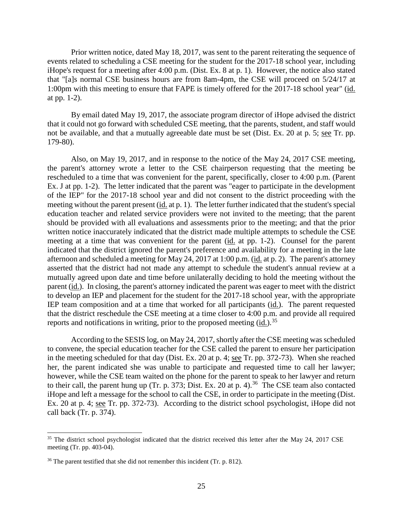Prior written notice, dated May 18, 2017, was sent to the parent reiterating the sequence of events related to scheduling a CSE meeting for the student for the 2017-18 school year, including iHope's request for a meeting after 4:00 p.m. (Dist. Ex. 8 at p. 1). However, the notice also stated that "[a]s normal CSE business hours are from 8am-4pm, the CSE will proceed on 5/24/17 at 1:00pm with this meeting to ensure that FAPE is timely offered for the 2017-18 school year" (id. at pp. 1-2).

By email dated May 19, 2017, the associate program director of iHope advised the district that it could not go forward with scheduled CSE meeting, that the parents, student, and staff would not be available, and that a mutually agreeable date must be set (Dist. Ex. 20 at p. 5; see Tr. pp. 179-80).

Also, on May 19, 2017, and in response to the notice of the May 24, 2017 CSE meeting, the parent's attorney wrote a letter to the CSE chairperson requesting that the meeting be rescheduled to a time that was convenient for the parent, specifically, closer to 4:00 p.m. (Parent Ex. J at pp. 1-2). The letter indicated that the parent was "eager to participate in the development of the IEP" for the 2017-18 school year and did not consent to the district proceeding with the meeting without the parent present (id. at p. 1). The letter further indicated that the student's special education teacher and related service providers were not invited to the meeting; that the parent should be provided with all evaluations and assessments prior to the meeting; and that the prior written notice inaccurately indicated that the district made multiple attempts to schedule the CSE meeting at a time that was convenient for the parent (id. at pp. 1-2). Counsel for the parent indicated that the district ignored the parent's preference and availability for a meeting in the late afternoon and scheduled a meeting for May 24, 2017 at 1:00 p.m. (id. at p. 2). The parent's attorney asserted that the district had not made any attempt to schedule the student's annual review at a mutually agreed upon date and time before unilaterally deciding to hold the meeting without the parent (id.). In closing, the parent's attorney indicated the parent was eager to meet with the district to develop an IEP and placement for the student for the 2017-18 school year, with the appropriate IEP team composition and at a time that worked for all participants (id.). The parent requested that the district reschedule the CSE meeting at a time closer to 4:00 p.m. and provide all required reports and notifications in writing, prior to the proposed meeting  $(id.)$ <sup>35</sup>

According to the SESIS log, on May 24, 2017, shortly after the CSE meeting was scheduled to convene, the special education teacher for the CSE called the parent to ensure her participation in the meeting scheduled for that day (Dist. Ex. 20 at p. 4; see Tr. pp. 372-73). When she reached her, the parent indicated she was unable to participate and requested time to call her lawyer; however, while the CSE team waited on the phone for the parent to speak to her lawyer and return to their call, the parent hung up (Tr. p. 373; Dist. Ex. 20 at p. 4).<sup>36</sup> The CSE team also contacted iHope and left a message for the school to call the CSE, in order to participate in the meeting (Dist. Ex. 20 at p. 4; see Tr. pp. 372-73). According to the district school psychologist, iHope did not call back (Tr. p. 374).

<sup>&</sup>lt;sup>35</sup> The district school psychologist indicated that the district received this letter after the May 24, 2017 CSE meeting (Tr. pp. 403-04).

 $36$  The parent testified that she did not remember this incident (Tr. p. 812).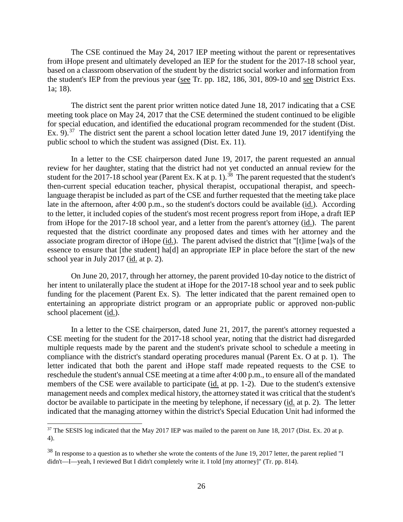The CSE continued the May 24, 2017 IEP meeting without the parent or representatives from iHope present and ultimately developed an IEP for the student for the 2017-18 school year, based on a classroom observation of the student by the district social worker and information from the student's IEP from the previous year (see Tr. pp. 182, 186, 301, 809-10 and see District Exs. 1a; 18).

The district sent the parent prior written notice dated June 18, 2017 indicating that a CSE meeting took place on May 24, 2017 that the CSE determined the student continued to be eligible for special education, and identified the educational program recommended for the student (Dist. Ex. 9).<sup>37</sup> The district sent the parent a school location letter dated June 19, 2017 identifying the public school to which the student was assigned (Dist. Ex. 11).

In a letter to the CSE chairperson dated June 19, 2017, the parent requested an annual review for her daughter, stating that the district had not yet conducted an annual review for the student for the 2017-18 school year (Parent Ex. K at p. 1).<sup>38</sup> The parent requested that the student's then-current special education teacher, physical therapist, occupational therapist, and speechlanguage therapist be included as part of the CSE and further requested that the meeting take place late in the afternoon, after 4:00 p.m., so the student's doctors could be available (id.). According to the letter, it included copies of the student's most recent progress report from iHope, a draft IEP from iHope for the 2017-18 school year, and a letter from the parent's attorney (id.). The parent requested that the district coordinate any proposed dates and times with her attorney and the associate program director of iHope (id.). The parent advised the district that "[t]ime [wa]s of the essence to ensure that [the student] ha[d] an appropriate IEP in place before the start of the new school year in July 2017 (id. at p. 2).

On June 20, 2017, through her attorney, the parent provided 10-day notice to the district of her intent to unilaterally place the student at iHope for the 2017-18 school year and to seek public funding for the placement (Parent Ex. S). The letter indicated that the parent remained open to entertaining an appropriate district program or an appropriate public or approved non-public school placement (id.).

In a letter to the CSE chairperson, dated June 21, 2017, the parent's attorney requested a CSE meeting for the student for the 2017-18 school year, noting that the district had disregarded multiple requests made by the parent and the student's private school to schedule a meeting in compliance with the district's standard operating procedures manual (Parent Ex. O at p. 1). The letter indicated that both the parent and iHope staff made repeated requests to the CSE to reschedule the student's annual CSE meeting at a time after 4:00 p.m., to ensure all of the mandated members of the CSE were available to participate (id. at pp. 1-2). Due to the student's extensive management needs and complex medical history, the attorney stated it was critical that the student's doctor be available to participate in the meeting by telephone, if necessary (id. at p. 2). The letter indicated that the managing attorney within the district's Special Education Unit had informed the

<sup>&</sup>lt;sup>37</sup> The SESIS log indicated that the May 2017 IEP was mailed to the parent on June 18, 2017 (Dist. Ex. 20 at p. 4).

<sup>38</sup> In response to a question as to whether she wrote the contents of the June 19, 2017 letter, the parent replied "I didn't—I—yeah, I reviewed But I didn't completely write it. I told [my attorney]" (Tr. pp. 814).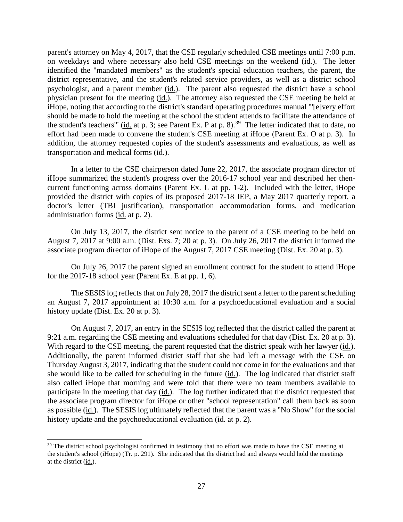parent's attorney on May 4, 2017, that the CSE regularly scheduled CSE meetings until 7:00 p.m. on weekdays and where necessary also held CSE meetings on the weekend (id.). The letter identified the "mandated members" as the student's special education teachers, the parent, the district representative, and the student's related service providers, as well as a district school psychologist, and a parent member (id.). The parent also requested the district have a school physician present for the meeting (id.). The attorney also requested the CSE meeting be held at iHope, noting that according to the district's standard operating procedures manual "'[e]very effort should be made to hold the meeting at the school the student attends to facilitate the attendance of the student's teachers'" (id. at p. 3; see Parent Ex. P at p. 8).<sup>39</sup> The letter indicated that to date, no effort had been made to convene the student's CSE meeting at iHope (Parent Ex. O at p. 3). In addition, the attorney requested copies of the student's assessments and evaluations, as well as transportation and medical forms (id.).

In a letter to the CSE chairperson dated June 22, 2017, the associate program director of iHope summarized the student's progress over the 2016-17 school year and described her thencurrent functioning across domains (Parent Ex. L at pp. 1-2). Included with the letter, iHope provided the district with copies of its proposed 2017-18 IEP, a May 2017 quarterly report, a doctor's letter (TBI justification), transportation accommodation forms, and medication administration forms (id. at p. 2).

On July 13, 2017, the district sent notice to the parent of a CSE meeting to be held on August 7, 2017 at 9:00 a.m. (Dist. Exs. 7; 20 at p. 3). On July 26, 2017 the district informed the associate program director of iHope of the August 7, 2017 CSE meeting (Dist. Ex. 20 at p. 3).

On July 26, 2017 the parent signed an enrollment contract for the student to attend iHope for the 2017-18 school year (Parent Ex. E at pp. 1, 6).

The SESIS log reflects that on July 28, 2017 the district sent a letter to the parentscheduling an August 7, 2017 appointment at 10:30 a.m. for a psychoeducational evaluation and a social history update (Dist. Ex. 20 at p. 3).

On August 7, 2017, an entry in the SESIS log reflected that the district called the parent at 9:21 a.m. regarding the CSE meeting and evaluations scheduled for that day (Dist. Ex. 20 at p. 3). With regard to the CSE meeting, the parent requested that the district speak with her lawyer (id.). Additionally, the parent informed district staff that she had left a message with the CSE on Thursday August 3, 2017, indicating that the student could not come in for the evaluations and that she would like to be called for scheduling in the future (id.). The log indicated that district staff also called iHope that morning and were told that there were no team members available to participate in the meeting that day (id.). The log further indicated that the district requested that the associate program director for iHope or other "school representation" call them back as soon as possible (id.). The SESIS log ultimately reflected that the parent was a "No Show" for the social history update and the psychoeducational evaluation (id. at p. 2).

<sup>&</sup>lt;sup>39</sup> The district school psychologist confirmed in testimony that no effort was made to have the CSE meeting at the student's school (iHope) (Tr. p. 291). She indicated that the district had and always would hold the meetings at the district (id.).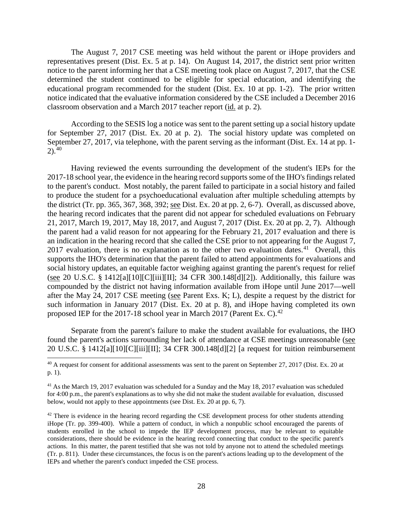The August 7, 2017 CSE meeting was held without the parent or iHope providers and representatives present (Dist. Ex. 5 at p. 14). On August 14, 2017, the district sent prior written notice to the parent informing her that a CSE meeting took place on August 7, 2017, that the CSE determined the student continued to be eligible for special education, and identifying the educational program recommended for the student (Dist. Ex. 10 at pp. 1-2). The prior written notice indicated that the evaluative information considered by the CSE included a December 2016 classroom observation and a March 2017 teacher report (id. at p. 2).

According to the SESIS log a notice was sent to the parent setting up a social history update for September 27, 2017 (Dist. Ex. 20 at p. 2). The social history update was completed on September 27, 2017, via telephone, with the parent serving as the informant (Dist. Ex. 14 at pp. 1-  $2)$ .<sup>40</sup>

Having reviewed the events surrounding the development of the student's IEPs for the 2017-18 school year, the evidence in the hearing record supports some of the IHO's findings related to the parent's conduct. Most notably, the parent failed to participate in a social history and failed to produce the student for a psychoeducational evaluation after multiple scheduling attempts by the district (Tr. pp. 365, 367, 368, 392; see Dist. Ex. 20 at pp. 2, 6-7). Overall, as discussed above, the hearing record indicates that the parent did not appear for scheduled evaluations on February 21, 2017, March 19, 2017, May 18, 2017, and August 7, 2017 (Dist. Ex. 20 at pp. 2, 7). Although the parent had a valid reason for not appearing for the February 21, 2017 evaluation and there is an indication in the hearing record that she called the CSE prior to not appearing for the August 7, 2017 evaluation, there is no explanation as to the other two evaluation dates.<sup>41</sup> Overall, this supports the IHO's determination that the parent failed to attend appointments for evaluations and social history updates, an equitable factor weighing against granting the parent's request for relief (see 20 U.S.C. § 1412[a][10][C][iii][II]; 34 CFR 300.148[d][2]). Additionally, this failure was compounded by the district not having information available from iHope until June 2017—well after the May 24, 2017 CSE meeting (see Parent Exs. K; L), despite a request by the district for such information in January 2017 (Dist. Ex. 20 at p. 8), and iHope having completed its own proposed IEP for the 2017-18 school year in March 2017 (Parent Ex. C).<sup>42</sup>

Separate from the parent's failure to make the student available for evaluations, the IHO found the parent's actions surrounding her lack of attendance at CSE meetings unreasonable (see 20 U.S.C. § 1412[a][10][C][iii][II]; 34 CFR 300.148[d][2] [a request for tuition reimbursement

<sup>40</sup> A request for consent for additional assessments was sent to the parent on September 27, 2017 (Dist. Ex. 20 at p. 1).

<sup>&</sup>lt;sup>41</sup> As the March 19, 2017 evaluation was scheduled for a Sunday and the May 18, 2017 evaluation was scheduled for 4:00 p.m., the parent's explanations as to why she did not make the student available for evaluation, discussed below, would not apply to these appointments (see Dist. Ex. 20 at pp. 6, 7).

 $42$  There is evidence in the hearing record regarding the CSE development process for other students attending iHope (Tr. pp. 399-400). While a pattern of conduct, in which a nonpublic school encouraged the parents of students enrolled in the school to impede the IEP development process, may be relevant to equitable considerations, there should be evidence in the hearing record connecting that conduct to the specific parent's actions. In this matter, the parent testified that she was not told by anyone not to attend the scheduled meetings (Tr. p. 811). Under these circumstances, the focus is on the parent's actions leading up to the development of the IEPs and whether the parent's conduct impeded the CSE process.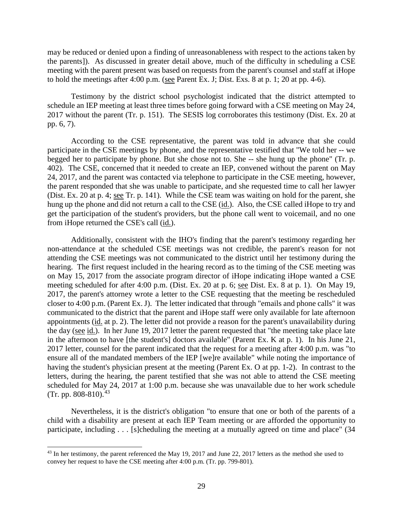may be reduced or denied upon a finding of unreasonableness with respect to the actions taken by the parents]). As discussed in greater detail above, much of the difficulty in scheduling a CSE meeting with the parent present was based on requests from the parent's counsel and staff at iHope to hold the meetings after 4:00 p.m. (see Parent Ex. J; Dist. Exs. 8 at p. 1; 20 at pp. 4-6).

Testimony by the district school psychologist indicated that the district attempted to schedule an IEP meeting at least three times before going forward with a CSE meeting on May 24, 2017 without the parent (Tr. p. 151). The SESIS log corroborates this testimony (Dist. Ex. 20 at pp. 6, 7).

According to the CSE representative, the parent was told in advance that she could participate in the CSE meetings by phone, and the representative testified that "We told her -- we begged her to participate by phone. But she chose not to. She -- she hung up the phone" (Tr. p. 402). The CSE, concerned that it needed to create an IEP, convened without the parent on May 24, 2017, and the parent was contacted via telephone to participate in the CSE meeting, however, the parent responded that she was unable to participate, and she requested time to call her lawyer (Dist. Ex. 20 at p. 4; see Tr. p. 141). While the CSE team was waiting on hold for the parent, she hung up the phone and did not return a call to the CSE (id.). Also, the CSE called iHope to try and get the participation of the student's providers, but the phone call went to voicemail, and no one from iHope returned the CSE's call (id.).

Additionally, consistent with the IHO's finding that the parent's testimony regarding her non-attendance at the scheduled CSE meetings was not credible, the parent's reason for not attending the CSE meetings was not communicated to the district until her testimony during the hearing. The first request included in the hearing record as to the timing of the CSE meeting was on May 15, 2017 from the associate program director of iHope indicating iHope wanted a CSE meeting scheduled for after 4:00 p.m. (Dist. Ex. 20 at p. 6; see Dist. Ex. 8 at p. 1). On May 19, 2017, the parent's attorney wrote a letter to the CSE requesting that the meeting be rescheduled closer to 4:00 p.m. (Parent Ex. J). The letter indicated that through "emails and phone calls" it was communicated to the district that the parent and iHope staff were only available for late afternoon appointments (id. at p. 2). The letter did not provide a reason for the parent's unavailability during the day (see id.). In her June 19, 2017 letter the parent requested that "the meeting take place late in the afternoon to have [the student's] doctors available" (Parent Ex. K at p. 1). In his June 21, 2017 letter, counsel for the parent indicated that the request for a meeting after 4:00 p.m. was "to ensure all of the mandated members of the IEP [we]re available" while noting the importance of having the student's physician present at the meeting (Parent Ex. O at pp. 1-2). In contrast to the letters, during the hearing, the parent testified that she was not able to attend the CSE meeting scheduled for May 24, 2017 at 1:00 p.m. because she was unavailable due to her work schedule (Tr. pp. 808-810).<sup>43</sup>

Nevertheless, it is the district's obligation "to ensure that one or both of the parents of a child with a disability are present at each IEP Team meeting or are afforded the opportunity to participate, including . . . [s]cheduling the meeting at a mutually agreed on time and place" (34

<sup>&</sup>lt;sup>43</sup> In her testimony, the parent referenced the May 19, 2017 and June 22, 2017 letters as the method she used to convey her request to have the CSE meeting after 4:00 p.m. (Tr. pp. 799-801).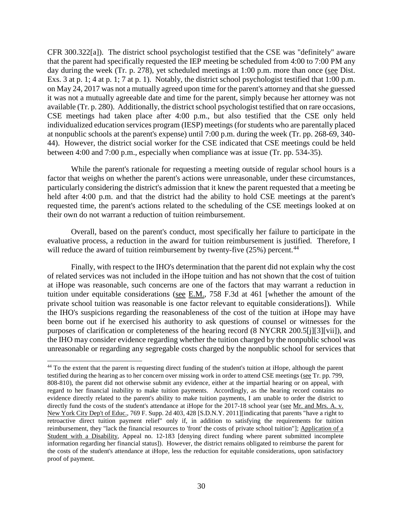CFR 300.322[a]). The district school psychologist testified that the CSE was "definitely" aware that the parent had specifically requested the IEP meeting be scheduled from 4:00 to 7:00 PM any day during the week (Tr. p. 278), yet scheduled meetings at 1:00 p.m. more than once (see Dist. Exs. 3 at p. 1; 4 at p. 1; 7 at p. 1). Notably, the district school psychologist testified that 1:00 p.m. on May 24, 2017 was not a mutually agreed upon time for the parent's attorney and that she guessed it was not a mutually agreeable date and time for the parent, simply because her attorney was not available (Tr. p. 280). Additionally, the district school psychologist testified that on rare occasions, CSE meetings had taken place after 4:00 p.m., but also testified that the CSE only held individualized education services program (IESP) meetings (for students who are parentally placed at nonpublic schools at the parent's expense) until 7:00 p.m. during the week (Tr. pp. 268-69, 340- 44). However, the district social worker for the CSE indicated that CSE meetings could be held between 4:00 and 7:00 p.m., especially when compliance was at issue (Tr. pp. 534-35).

While the parent's rationale for requesting a meeting outside of regular school hours is a factor that weighs on whether the parent's actions were unreasonable, under these circumstances, particularly considering the district's admission that it knew the parent requested that a meeting be held after 4:00 p.m. and that the district had the ability to hold CSE meetings at the parent's requested time, the parent's actions related to the scheduling of the CSE meetings looked at on their own do not warrant a reduction of tuition reimbursement.

Overall, based on the parent's conduct, most specifically her failure to participate in the evaluative process, a reduction in the award for tuition reimbursement is justified. Therefore, I will reduce the award of tuition reimbursement by twenty-five (25%) percent.<sup>44</sup>

Finally, with respect to the IHO's determination that the parent did not explain why the cost of related services was not included in the iHope tuition and has not shown that the cost of tuition at iHope was reasonable, such concerns are one of the factors that may warrant a reduction in tuition under equitable considerations (see E.M., 758 F.3d at 461 [whether the amount of the private school tuition was reasonable is one factor relevant to equitable considerations]). While the IHO's suspicions regarding the reasonableness of the cost of the tuition at iHope may have been borne out if he exercised his authority to ask questions of counsel or witnesses for the purposes of clarification or completeness of the hearing record (8 NYCRR 200.5[j][3][vii]), and the IHO may consider evidence regarding whether the tuition charged by the nonpublic school was unreasonable or regarding any segregable costs charged by the nonpublic school for services that

<sup>&</sup>lt;sup>44</sup> To the extent that the parent is requesting direct funding of the student's tuition at iHope, although the parent testified during the hearing as to her concern over missing work in order to attend CSE meetings (see Tr. pp. 799, 808-810), the parent did not otherwise submit any evidence, either at the impartial hearing or on appeal, with regard to her financial inability to make tuition payments. Accordingly, as the hearing record contains no evidence directly related to the parent's ability to make tuition payments, I am unable to order the district to directly fund the costs of the student's attendance at iHope for the 2017-18 school year (see Mr. and Mrs. A. v. New York City Dep't of Educ., 769 F. Supp. 2d 403, 428 [S.D.N.Y. 2011][indicating that parents "have a right to retroactive direct tuition payment relief" only if, in addition to satisfying the requirements for tuition reimbursement, they "lack the financial resources to 'front' the costs of private school tuition"]; Application of a Student with a Disability, Appeal no. 12-183 [denying direct funding where parent submitted incomplete information regarding her financial status]). However, the district remains obligated to reimburse the parent for the costs of the student's attendance at iHope, less the reduction for equitable considerations, upon satisfactory proof of payment.